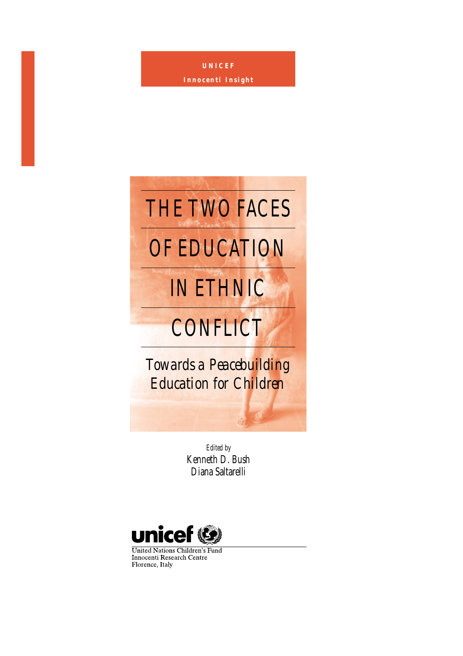#### **UNICEF**

**Innocenti Insight**

# THE TWO FACES OF EDUCATION IN ETHNIC **CONFLICT**

*Towards a Peacebuilding Education for Children*

> *Edited by* Kenneth D. Bush Diana Saltarelli



United Nations Children's Fund Innocenti Research Centre Florence, Italy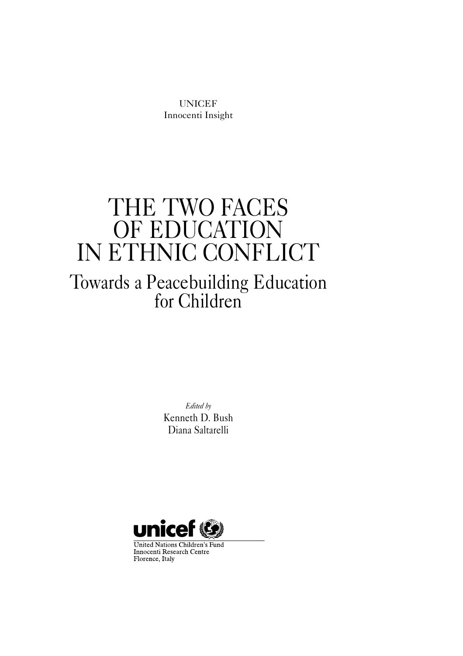UNICEF Innocenti Insight

# THE TWO FACES OF EDUCATION IN ETHNIC CONFLICT

# Towards a Peacebuilding Education for Children

*Edited by* Kenneth D. Bush Diana Saltarelli



**United Nations Children's Fund** Innocenti Research Centre Florence, Italy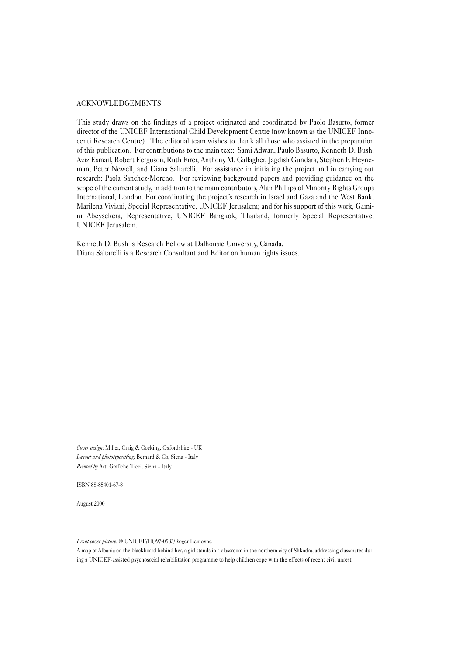#### ACKNOWLEDGEMENTS

This study draws on the findings of a project originated and coordinated by Paolo Basurto, former director of the UNICEF International Child Development Centre (now known as the UNICEF Innocenti Research Centre). The editorial team wishes to thank all those who assisted in the preparation of this publication. For contributions to the main text: Sami Adwan, Paulo Basurto, Kenneth D. Bush, Aziz Esmail, Robert Ferguson, Ruth Firer, Anthony M. Gallagher, Jagdish Gundara, Stephen P. Heyneman, Peter Newell, and Diana Saltarelli. For assistance in initiating the project and in carrying out research: Paola Sanchez-Moreno. For reviewing background papers and providing guidance on the scope of the current study, in addition to the main contributors, Alan Phillips of Minority Rights Groups International, London. For coordinating the project's research in Israel and Gaza and the West Bank, Marilena Viviani, Special Representative, UNICEF Jerusalem; and for his support of this work, Gamini Abeysekera, Representative, UNICEF Bangkok, Thailand, formerly Special Representative, UNICEF Jerusalem.

Kenneth D. Bush is Research Fellow at Dalhousie University, Canada. Diana Saltarelli is a Research Consultant and Editor on human rights issues.

*Cover design:* Miller, Craig & Cocking, Oxfordshire - UK *Layout and phototypesetting:* Bernard & Co, Siena - Italy *Printed by* Arti Grafiche Ticci, Siena - Italy

ISBN 88-85401-67-8

August 2000

*Front cover picture:* © UNICEF/HQ97-0583/Roger Lemoyne

A map of Albania on the blackboard behind her, a girl stands in a classroom in the northern city of Shkodra, addressing classmates during a UNICEF-assisted psychosocial rehabilitation programme to help children cope with the effects of recent civil unrest.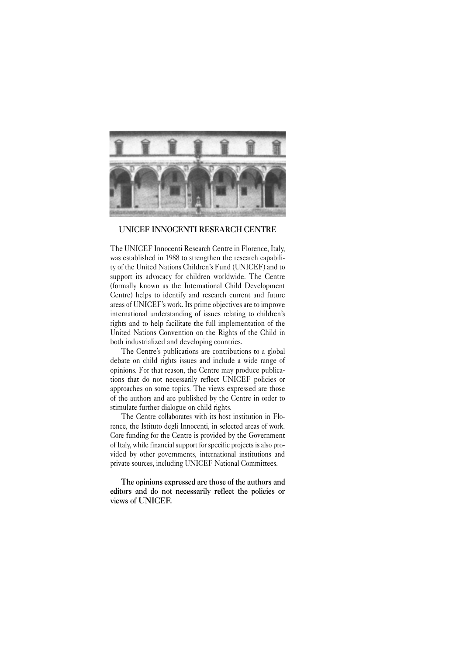

#### UNICEF INNOCENTI RESEARCH CENTRE

The UNICEF Innocenti Research Centre in Florence, Italy, was established in 1988 to strengthen the research capability of the United Nations Children's Fund (UNICEF) and to support its advocacy for children worldwide. The Centre (formally known as the International Child Development Centre) helps to identify and research current and future areas of UNICEF's work. Its prime objectives are to improve international understanding of issues relating to children's rights and to help facilitate the full implementation of the United Nations Convention on the Rights of the Child in both industrialized and developing countries.

The Centre's publications are contributions to a global debate on child rights issues and include a wide range of opinions. For that reason, the Centre may produce publications that do not necessarily reflect UNICEF policies or approaches on some topics. The views expressed are those of the authors and are published by the Centre in order to stimulate further dialogue on child rights.

The Centre collaborates with its host institution in Florence, the Istituto degli Innocenti, in selected areas of work. Core funding for the Centre is provided by the Government of Italy, while financial support for specific projects is also provided by other governments, international institutions and private sources, including UNICEF National Committees.

The opinions expressed are those of the authors and editors and do not necessarily reflect the policies or views of UNICEF.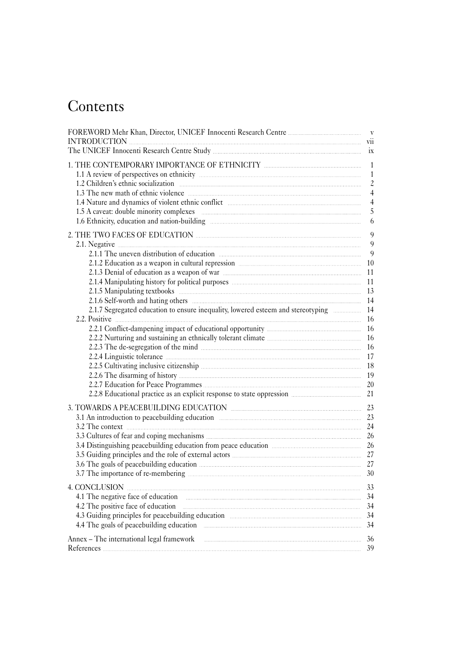# **Contents**

| 1.2 Children's ethnic socialization <i>manufactured contained as a contained set of the set of the set of the set of the set of the set of the set of the set of the set of the set of the set of the set of the set of the set </i><br>1.3 The new math of ethnic violence manufactured and the state of the new math of ethnic violence<br>1.4 Nature and dynamics of violent ethnic conflict manufactured and dynamics of violent ethnic conflict<br>1.5 A caveat: double minority complexes <b>manufacture</b> and the state of the state of the state of the state of the state of the state of the state of the state of the state of the state of the state of the state of the stat<br>1.6 Ethnicity, education and nation-building <i>manufacture and the state of the state of the state of the state of the state of the state of the state of the state of the state of the state of the state of the state of the </i>            | $\mathbf{1}$<br>$\overline{c}$<br>$\overline{4}$<br>$\overline{4}$<br>5<br>6 |
|------------------------------------------------------------------------------------------------------------------------------------------------------------------------------------------------------------------------------------------------------------------------------------------------------------------------------------------------------------------------------------------------------------------------------------------------------------------------------------------------------------------------------------------------------------------------------------------------------------------------------------------------------------------------------------------------------------------------------------------------------------------------------------------------------------------------------------------------------------------------------------------------------------------------------------------------|------------------------------------------------------------------------------|
| 2. THE TWO FACES OF EDUCATION <b>CONSUMING THE TWO FACES</b><br>2.1.1 The uneven distribution of education <i>manufacture contained as a contained</i> and the uneven distribution of education<br>2.1.2 Education as a weapon in cultural repression <i>manufacture in the set also</i> extends the set also also also a<br>2.1.3 Denial of education as a weapon of war manufactured and all the contract of education as a weapon of war<br>2.1.7 Segregated education to ensure inequality, lowered esteem and stereotyping <i>manuf</i> 14<br>2.2. Positive <b>contract of the contract of the contract of the contract of the contract of the contract of the contract of the contract of the contract of the contract of the contract of the contract of the contract of the</b><br>2.2.2 Nurturing and sustaining an ethnically tolerant climate <i>machineral system</i> and sustaining and sustaining an ethnically tolerant climate | 9<br>9<br>9<br>10<br>11<br>16<br>16<br>17<br>21                              |
| 3. TOWARDS A PEACEBUILDING EDUCATION ELECTRICITY AND THE SERVICE OF A PEACEBUILDING EDUCATION<br>3.1 An introduction to peacebuilding education manufactured contains the contract of the 23<br>3.4 Distinguishing peacebuilding education from peace education manufactured and 26<br>3.7 The importance of re-membering manufactured and the manufactured and the importance of re-membering manufactured and the state of the importance of re-membering manufactured and the state of the state of the state of t<br>4.1 The negative face of education <b>Example 2018</b> 34<br>4.2 The positive face of education<br>4.3 Guiding principles for peacebuilding education <i>manufacture contains the container container 34</i>                                                                                                                                                                                                          | 23<br>24<br>33<br>34                                                         |
| 4.4 The goals of peacebuilding education <i>manufacture in the state state state</i> and the state state of the state state state state and the state state state state state and the state state state state state state state sta<br>Annex - The international legal framework <b>Constanting the Constantine Constanting Constanting Constanting Constanting Constanting Constanting Constanting Constanting Constanting Constanting Constanting Constanting Constan</b>                                                                                                                                                                                                                                                                                                                                                                                                                                                                    | 34<br>36<br>39                                                               |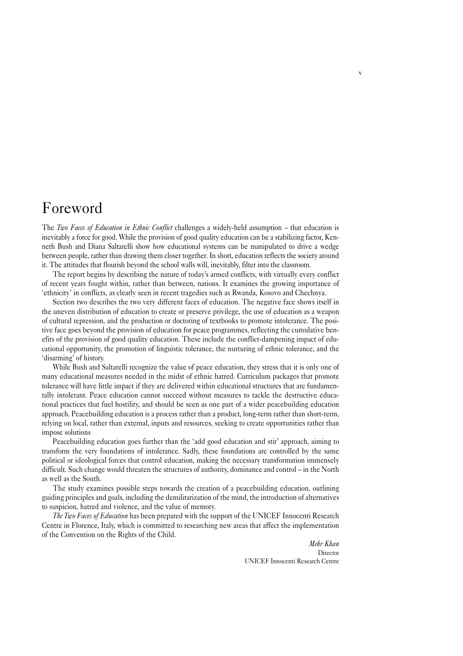### Foreword

The *Two Faces of Education in Ethnic Conflict* challenges a widely-held assumption – that education is inevitably a force for good. While the provision of good quality education can be a stabilizing factor, Kenneth Bush and Diana Saltarelli show how educational systems can be manipulated to drive a wedge between people, rather than drawing them closer together. In short, education reflects the society around it. The attitudes that flourish beyond the school walls will, inevitably, filter into the classroom.

The report begins by describing the nature of today's armed conflicts, with virtually every conflict of recent years fought within, rather than between, nations. It examines the growing importance of 'ethnicity' in conflicts, as clearly seen in recent tragedies such as Rwanda, Kosovo and Chechnya.

Section two describes the two very different faces of education. The negative face shows itself in the uneven distribution of education to create or preserve privilege, the use of education as a weapon of cultural repression, and the production or doctoring of textbooks to promote intolerance. The positive face goes beyond the provision of education for peace programmes, reflecting the cumulative benefits of the provision of good quality education. These include the conflict-dampening impact of educational opportunity, the promotion of linguistic tolerance, the nurturing of ethnic tolerance, and the 'disarming' of history.

While Bush and Saltarelli recognize the value of peace education, they stress that it is only one of many educational measures needed in the midst of ethnic hatred. Curriculum packages that promote tolerance will have little impact if they are delivered within educational structures that are fundamentally intolerant. Peace education cannot succeed without measures to tackle the destructive educational practices that fuel hostility, and should be seen as one part of a wider peacebuilding education approach. Peacebuilding education is a process rather than a product, long-term rather than short-term, relying on local, rather than external, inputs and resources, seeking to create opportunities rather than impose solutions

Peacebuilding education goes further than the 'add good education and stir' approach, aiming to transform the very foundations of intolerance. Sadly, these foundations are controlled by the same political or ideological forces that control education, making the necessary transformation immensely difficult. Such change would threaten the structures of authority, dominance and control – in the North as well as the South.

The study examines possible steps towards the creation of a peacebuilding education, outlining guiding principles and goals, including the demilitarization of the mind, the introduction of alternatives to suspicion, hatred and violence, and the value of memory.

*The Two Faces of Education* has been prepared with the support of the UNICEF Innocenti Research Centre in Florence, Italy, which is committed to researching new areas that affect the implementation of the Convention on the Rights of the Child.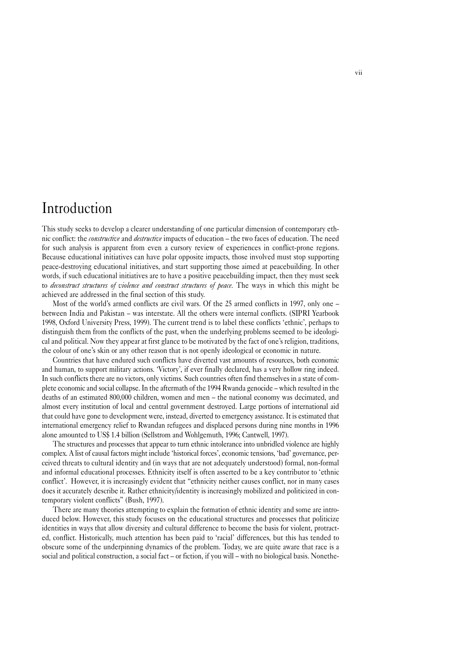## Introduction

This study seeks to develop a clearer understanding of one particular dimension of contemporary ethnic conflict: the *constructive* and *destructive* impacts of education – the two faces of education. The need for such analysis is apparent from even a cursory review of experiences in conflict-prone regions. Because educational initiatives can have polar opposite impacts, those involved must stop supporting peace-destroying educational initiatives, and start supporting those aimed at peacebuilding. In other words, if such educational initiatives are to have a positive peacebuilding impact, then they must seek to *deconstruct structures of violence and construct structures of peace.* The ways in which this might be achieved are addressed in the final section of this study.

Most of the world's armed conflicts are civil wars. Of the 25 armed conflicts in 1997, only one – between India and Pakistan – was interstate. All the others were internal conflicts. (SIPRI Yearbook 1998, Oxford University Press, 1999). The current trend is to label these conflicts 'ethnic', perhaps to distinguish them from the conflicts of the past, when the underlying problems seemed to be ideological and political. Now they appear at first glance to be motivated by the fact of one's religion, traditions, the colour of one's skin or any other reason that is not openly ideological or economic in nature.

Countries that have endured such conflicts have diverted vast amounts of resources, both economic and human, to support military actions. 'Victory', if ever finally declared, has a very hollow ring indeed. In such conflicts there are no victors, only victims. Such countries often find themselves in a state of complete economic and social collapse. In the aftermath of the 1994 Rwanda genocide – which resulted in the deaths of an estimated 800,000 children, women and men – the national economy was decimated, and almost every institution of local and central government destroyed. Large portions of international aid that could have gone to development were, instead, diverted to emergency assistance. It is estimated that international emergency relief to Rwandan refugees and displaced persons during nine months in 1996 alone amounted to US\$ 1.4 billion (Sellstrom and Wohlgemuth, 1996; Cantwell, 1997).

The structures and processes that appear to turn ethnic intolerance into unbridled violence are highly complex. A list of causal factors might include 'historical forces', economic tensions, 'bad' governance, perceived threats to cultural identity and (in ways that are not adequately understood) formal, non-formal and informal educational processes. Ethnicity itself is often asserted to be a key contributor to 'ethnic conflict'. However, it is increasingly evident that "ethnicity neither causes conflict, nor in many cases does it accurately describe it. Rather ethnicity/identity is increasingly mobilized and politicized in contemporary violent conflicts" (Bush, 1997).

There are many theories attempting to explain the formation of ethnic identity and some are introduced below. However, this study focuses on the educational structures and processes that politicize identities in ways that allow diversity and cultural difference to become the basis for violent, protracted, conflict. Historically, much attention has been paid to 'racial' differences, but this has tended to obscure some of the underpinning dynamics of the problem. Today, we are quite aware that race is a social and political construction, a social fact – or fiction, if you will – with no biological basis. Nonethe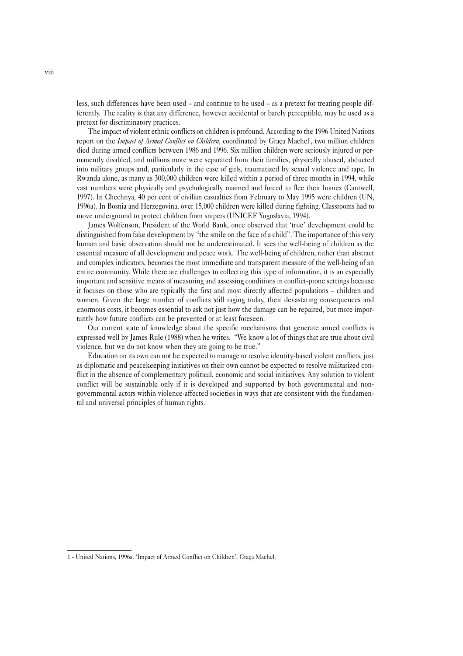less, such differences have been used – and continue to be used – as a pretext for treating people differently. The reality is that any difference, however accidental or barely perceptible, may be used as a pretext for discriminatory practices.

The impact of violent ethnic conflicts on children is profound. According to the 1996 United Nations report on the *Impact of Armed Conflict on Children*, coordinated by Graça Machel<sup>1</sup>, two million children died during armed conflicts between 1986 and 1996. Six million children were seriously injured or permanently disabled, and millions more were separated from their families, physically abused, abducted into military groups and, particularly in the case of girls, traumatized by sexual violence and rape. In Rwanda alone, as many as 300,000 children were killed within a period of three months in 1994, while vast numbers were physically and psychologically maimed and forced to flee their homes (Cantwell, 1997). In Chechnya, 40 per cent of civilian casualties from February to May 1995 were children (UN, 1996a). In Bosnia and Herzegovina, over 15,000 children were killed during fighting. Classrooms had to move underground to protect children from snipers (UNICEF Yugoslavia, 1994).

James Wolfenson, President of the World Bank, once observed that 'true' development could be distinguished from fake development by "the smile on the face of a child". The importance of this very human and basic observation should not be underestimated. It sees the well-being of children as the essential measure of all development and peace work. The well-being of children, rather than abstract and complex indicators, becomes the most immediate and transparent measure of the well-being of an entire community. While there are challenges to collecting this type of information, it is an especially important and sensitive means of measuring and assessing conditions in conflict-prone settings because it focuses on those who are typically the first and most directly affected populations – children and women. Given the large number of conflicts still raging today, their devastating consequences and enormous costs, it becomes essential to ask not just how the damage can be repaired, but more importantly how future conflicts can be prevented or at least foreseen.

Our current state of knowledge about the specific mechanisms that generate armed conflicts is expressed well by James Rule (1988) when he writes, "We know a lot of things that are true about civil violence, but we do not know when they are going to be true."

Education on its own can not be expected to manage or resolve identity-based violent conflicts, just as diplomatic and peacekeeping initiatives on their own cannot be expected to resolve militarized conflict in the absence of complementary political, economic and social initiatives. Any solution to violent conflict will be sustainable only if it is developed and supported by both governmental and nongovernmental actors within violence-affected societies in ways that are consistent with the fundamental and universal principles of human rights.

<sup>1 -</sup> United Nations, 1996a. 'Impact of Armed Conflict on Children', Graça Machel.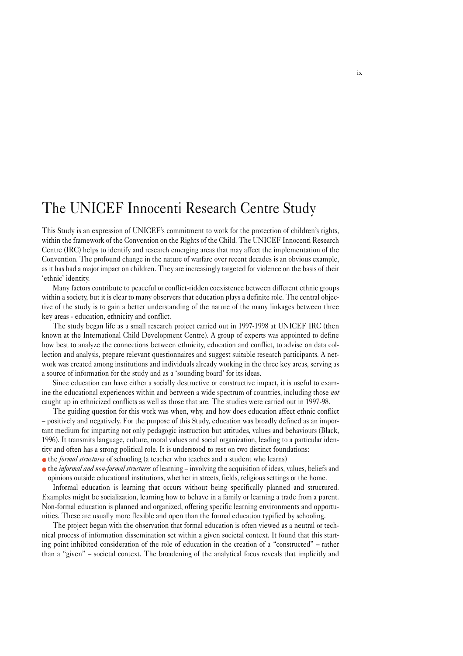# The UNICEF Innocenti Research Centre Study

This Study is an expression of UNICEF's commitment to work for the protection of children's rights, within the framework of the Convention on the Rights of the Child. The UNICEF Innocenti Research Centre (IRC) helps to identify and research emerging areas that may affect the implementation of the Convention. The profound change in the nature of warfare over recent decades is an obvious example, as it has had a major impact on children. They are increasingly targeted for violence on the basis of their 'ethnic' identity.

Many factors contribute to peaceful or conflict-ridden coexistence between different ethnic groups within a society, but it is clear to many observers that education plays a definite role. The central objective of the study is to gain a better understanding of the nature of the many linkages between three key areas - education, ethnicity and conflict.

The study began life as a small research project carried out in 1997-1998 at UNICEF IRC (then known at the International Child Development Centre). A group of experts was appointed to define how best to analyze the connections between ethnicity, education and conflict, to advise on data collection and analysis, prepare relevant questionnaires and suggest suitable research participants. A network was created among institutions and individuals already working in the three key areas, serving as a source of information for the study and as a 'sounding board' for its ideas.

Since education can have either a socially destructive or constructive impact, it is useful to examine the educational experiences within and between a wide spectrum of countries, including those *not* caught up in ethnicized conflicts as well as those that are. The studies were carried out in 1997-98.

The guiding question for this work was when, why, and how does education affect ethnic conflict – positively and negatively. For the purpose of this Study, education was broadly defined as an important medium for imparting not only pedagogic instruction but attitudes, values and behaviours (Black, 1996). It transmits language, culture, moral values and social organization, leading to a particular identity and often has a strong political role. It is understood to rest on two distinct foundations:

- the *formal structures* of schooling (a teacher who teaches and a student who learns)
- the *informal and non-formal structures* of learning involving the acquisition of ideas, values, beliefs and opinions outside educational institutions, whether in streets, fields, religious settings or the home.

Informal education is learning that occurs without being specifically planned and structured. Examples might be socialization, learning how to behave in a family or learning a trade from a parent. Non-formal education is planned and organized, offering specific learning environments and opportunities. These are usually more flexible and open than the formal education typified by schooling.

The project began with the observation that formal education is often viewed as a neutral or technical process of information dissemination set within a given societal context. It found that this starting point inhibited consideration of the role of education in the creation of a "constructed" – rather than a "given" – societal context. The broadening of the analytical focus reveals that implicitly and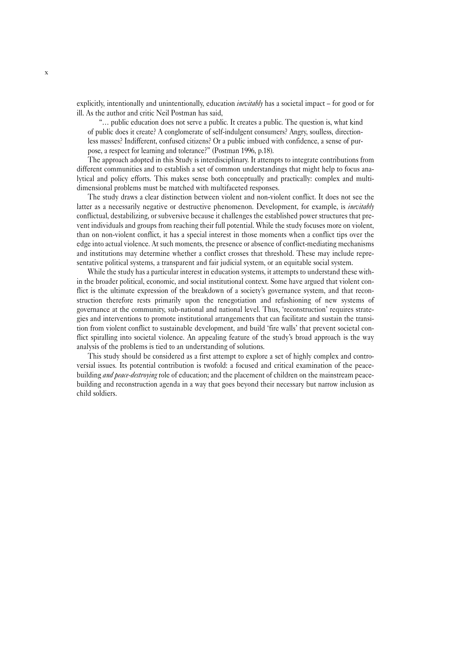explicitly, intentionally and unintentionally, education *inevitably* has a societal impact – for good or for ill. As the author and critic Neil Postman has said,

"… public education does not serve a public. It creates a public. The question is, what kind of public does it create? A conglomerate of self-indulgent consumers? Angry, soulless, directionless masses? Indifferent, confused citizens? Or a public imbued with confidence, a sense of purpose, a respect for learning and tolerance?" (Postman 1996, p.18).

The approach adopted in this Study is interdisciplinary. It attempts to integrate contributions from different communities and to establish a set of common understandings that might help to focus analytical and policy efforts. This makes sense both conceptually and practically: complex and multidimensional problems must be matched with multifaceted responses.

The study draws a clear distinction between violent and non-violent conflict. It does not see the latter as a necessarily negative or destructive phenomenon. Development, for example, is *inevitably* conflictual, destabilizing, or subversive because it challenges the established power structures that prevent individuals and groups from reaching their full potential. While the study focuses more on violent, than on non-violent conflict, it has a special interest in those moments when a conflict tips over the edge into actual violence. At such moments, the presence or absence of conflict-mediating mechanisms and institutions may determine whether a conflict crosses that threshold. These may include representative political systems, a transparent and fair judicial system, or an equitable social system.

While the study has a particular interest in education systems, it attempts to understand these within the broader political, economic, and social institutional context. Some have argued that violent conflict is the ultimate expression of the breakdown of a society's governance system, and that reconstruction therefore rests primarily upon the renegotiation and refashioning of new systems of governance at the community, sub-national and national level. Thus, 'reconstruction' requires strategies and interventions to promote institutional arrangements that can facilitate and sustain the transition from violent conflict to sustainable development, and build 'fire walls' that prevent societal conflict spiralling into societal violence. An appealing feature of the study's broad approach is the way analysis of the problems is tied to an understanding of solutions.

This study should be considered as a first attempt to explore a set of highly complex and controversial issues. Its potential contribution is twofold: a focused and critical examination of the peacebuilding *and peace-destroying* role of education; and the placement of children on the mainstream peacebuilding and reconstruction agenda in a way that goes beyond their necessary but narrow inclusion as child soldiers.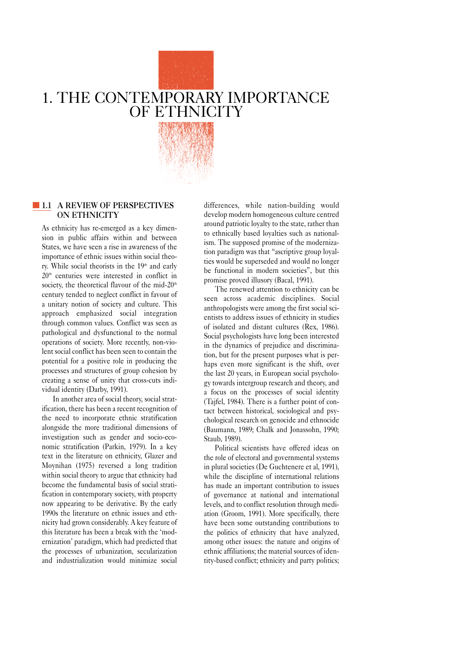

### 1. THE CONTEMPORARY IMPORTANCE OF ETHNICITY



#### **1.1 A REVIEW OF PERSPECTIVES** ON ETHNICITY

As ethnicity has re-emerged as a key dimension in public affairs within and between States, we have seen a rise in awareness of the importance of ethnic issues within social theory. While social theorists in the 19<sup>th</sup> and early  $20<sup>th</sup>$  centuries were interested in conflict in society, the theoretical flavour of the mid-20<sup>th</sup> century tended to neglect conflict in favour of a unitary notion of society and culture. This approach emphasized social integration through common values. Conflict was seen as pathological and dysfunctional to the normal operations of society. More recently, non-violent social conflict has been seen to contain the potential for a positive role in producing the processes and structures of group cohesion by creating a sense of unity that cross-cuts individual identity (Darby, 1991).

In another area of social theory, social stratification, there has been a recent recognition of the need to incorporate ethnic stratification alongside the more traditional dimensions of investigation such as gender and socio-economic stratification (Parkin, 1979). In a key text in the literature on ethnicity, Glazer and Moynihan (1975) reversed a long tradition within social theory to argue that ethnicity had become the fundamental basis of social stratification in contemporary society, with property now appearing to be derivative. By the early 1990s the literature on ethnic issues and ethnicity had grown considerably. A key feature of this literature has been a break with the 'modernization' paradigm, which had predicted that the processes of urbanization, secularization and industrialization would minimize social differences, while nation-building would develop modern homogeneous culture centred around patriotic loyalty to the state, rather than to ethnically based loyalties such as nationalism. The supposed promise of the modernization paradigm was that "ascriptive group loyalties would be superseded and would no longer be functional in modern societies", but this promise proved illusory (Bacal, 1991).

The renewed attention to ethnicity can be seen across academic disciplines. Social anthropologists were among the first social scientists to address issues of ethnicity in studies of isolated and distant cultures (Rex, 1986). Social psychologists have long been interested in the dynamics of prejudice and discrimination, but for the present purposes what is perhaps even more significant is the shift, over the last 20 years, in European social psychology towards intergroup research and theory, and a focus on the processes of social identity (Tajfel, 1984). There is a further point of contact between historical, sociological and psychological research on genocide and ethnocide (Baumann, 1989; Chalk and Jonassohn, 1990; Staub, 1989).

Political scientists have offered ideas on the role of electoral and governmental systems in plural societies (De Guchtenere et al, 1991), while the discipline of international relations has made an important contribution to issues of governance at national and international levels, and to conflict resolution through mediation (Groom, 1991). More specifically, there have been some outstanding contributions to the politics of ethnicity that have analyzed, among other issues: the nature and origins of ethnic affiliations; the material sources of identity-based conflict; ethnicity and party politics;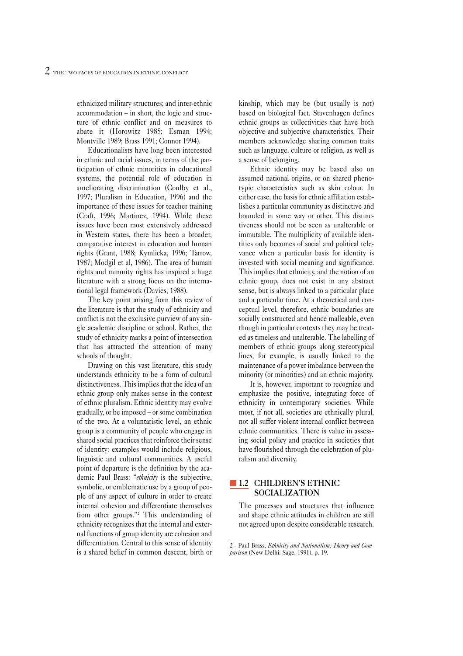ethnicized military structures; and inter-ethnic accommodation – in short, the logic and structure of ethnic conflict and on measures to abate it (Horowitz 1985; Esman 1994; Montville 1989; Brass 1991; Connor 1994).

Educationalists have long been interested in ethnic and racial issues, in terms of the participation of ethnic minorities in educational systems, the potential role of education in ameliorating discrimination (Coulby et al., 1997; Pluralism in Education, 1996) and the importance of these issues for teacher training (Craft, 1996; Martinez, 1994). While these issues have been most extensively addressed in Western states, there has been a broader, comparative interest in education and human rights (Grant, 1988; Kymlicka, 1996; Tarrow, 1987; Modgil et al, 1986). The area of human rights and minority rights has inspired a huge literature with a strong focus on the international legal framework (Davies, 1988).

The key point arising from this review of the literature is that the study of ethnicity and conflict is not the exclusive purview of any single academic discipline or school. Rather, the study of ethnicity marks a point of intersection that has attracted the attention of many schools of thought.

Drawing on this vast literature, this study understands ethnicity to be a form of cultural distinctiveness. This implies that the idea of an ethnic group only makes sense in the context of ethnic pluralism. Ethnic identity may evolve gradually, or be imposed – or some combination of the two. At a voluntaristic level, an ethnic group is a community of people who engage in shared social practices that reinforce their sense of identity: examples would include religious, linguistic and cultural communities. A useful point of departure is the definition by the academic Paul Brass: "*ethnicity* is the subjective, symbolic, or emblematic use by a group of people of any aspect of culture in order to create internal cohesion and differentiate themselves from other groups." <sup>2</sup> This understanding of ethnicity recognizes that the internal and external functions of group identity are cohesion and differentiation. Central to this sense of identity is a shared belief in common descent, birth or kinship, which may be (but usually is not) based on biological fact. Stavenhagen defines ethnic groups as collectivities that have both objective and subjective characteristics. Their members acknowledge sharing common traits such as language, culture or religion, as well as a sense of belonging.

Ethnic identity may be based also on assumed national origins, or on shared phenotypic characteristics such as skin colour. In either case, the basis for ethnic affiliation establishes a particular community as distinctive and bounded in some way or other. This distinctiveness should not be seen as unalterable or immutable. The multiplicity of available identities only becomes of social and political relevance when a particular basis for identity is invested with social meaning and significance. This implies that ethnicity, and the notion of an ethnic group, does not exist in any abstract sense, but is always linked to a particular place and a particular time. At a theoretical and conceptual level, therefore, ethnic boundaries are socially constructed and hence malleable, even though in particular contexts they may be treated as timeless and unalterable. The labelling of members of ethnic groups along stereotypical lines, for example, is usually linked to the maintenance of a power imbalance between the minority (or minorities) and an ethnic majority.

It is, however, important to recognize and emphasize the positive, integrating force of ethnicity in contemporary societies. While most, if not all, societies are ethnically plural, not all suffer violent internal conflict between ethnic communities. There is value in assessing social policy and practice in societies that have flourished through the celebration of pluralism and diversity.

#### **1.2 CHILDREN'S ETHNIC** SOCIALIZATION

The processes and structures that influence and shape ethnic attitudes in children are still not agreed upon despite considerable research.

<sup>2 -</sup> Paul Brass, *Ethnicity and Nationalism: Theory and Comparison* (New Delhi: Sage, 1991), p. 19.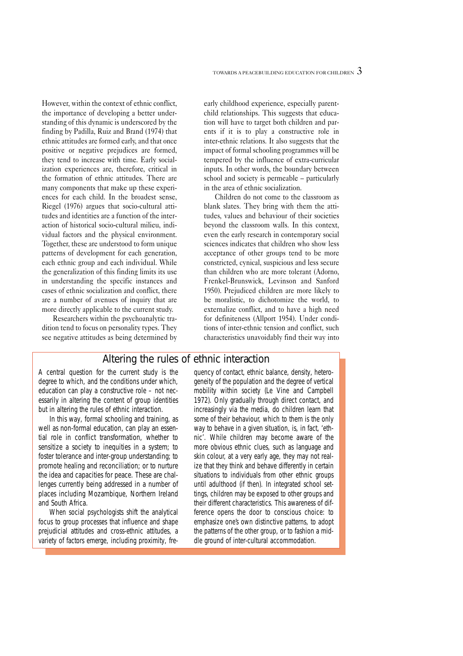However, within the context of ethnic conflict, the importance of developing a better understanding of this dynamic is underscored by the finding by Padilla, Ruiz and Brand (1974) that ethnic attitudes are formed early, and that once positive or negative prejudices are formed, they tend to increase with time. Early socialization experiences are, therefore, critical in the formation of ethnic attitudes. There are many components that make up these experiences for each child. In the broadest sense, Riegel (1976) argues that socio-cultural attitudes and identities are a function of the interaction of historical socio-cultural milieu, individual factors and the physical environment. Together, these are understood to form unique patterns of development for each generation, each ethnic group and each individual. While the generalization of this finding limits its use in understanding the specific instances and cases of ethnic socialization and conflict, there are a number of avenues of inquiry that are more directly applicable to the current study.

Researchers within the psychoanalytic tradition tend to focus on personality types. They see negative attitudes as being determined by early childhood experience, especially parentchild relationships. This suggests that education will have to target both children and parents if it is to play a constructive role in inter-ethnic relations. It also suggests that the impact of formal schooling programmes will be tempered by the influence of extra-curricular inputs. In other words, the boundary between school and society is permeable – particularly in the area of ethnic socialization.

Children do not come to the classroom as blank slates. They bring with them the attitudes, values and behaviour of their societies beyond the classroom walls. In this context, even the early research in contemporary social sciences indicates that children who show less acceptance of other groups tend to be more constricted, cynical, suspicious and less secure than children who are more tolerant (Adorno, Frenkel-Brunswick, Levinson and Sanford 1950). Prejudiced children are more likely to be moralistic, to dichotomize the world, to externalize conflict, and to have a high need for definiteness (Allport 1954). Under conditions of inter-ethnic tension and conflict, such characteristics unavoidably find their way into

### **Altering the rules of ethnic interaction**

A central question for the current study is the degree to which, and the conditions under which, education can play a constructive role – not necessarily in altering the content of group identities but in altering the rules of ethnic interaction.

In this way, formal schooling and training, as well as non-formal education, can play an essential role in conflict transformation, whether to sensitize a society to inequities in a system; to foster tolerance and inter-group understanding; to promote healing and reconciliation; or to nurture the idea and capacities for peace. These are challenges currently being addressed in a number of places including Mozambique, Northern Ireland and South Africa.

When social psychologists shift the analytical focus to group processes that influence and shape prejudicial attitudes and cross-ethnic attitudes, a variety of factors emerge, including proximity, frequency of contact, ethnic balance, density, heterogeneity of the population and the degree of vertical mobility within society (Le Vine and Campbell 1972). Only gradually through direct contact, and increasingly via the media, do children learn that some of their behaviour, which to them is the only way to behave in a given situation, is, in fact, 'ethnic'. While children may become aware of the more obvious ethnic clues, such as language and skin colour, at a very early age, they may not realize that they think and behave differently in certain situations to individuals from other ethnic groups until adulthood (if then). In integrated school settings, children may be exposed to other groups and their different characteristics. This awareness of difference opens the door to conscious choice: to emphasize one's own distinctive patterns, to adopt the patterns of the other group, or to fashion a middle ground of inter-cultural accommodation.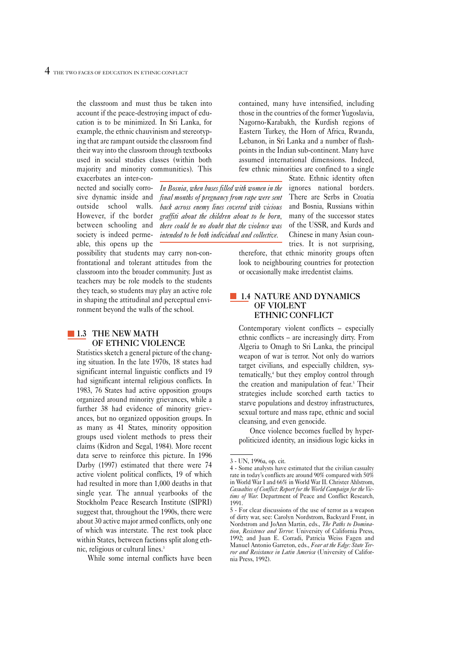the classroom and must thus be taken into account if the peace-destroying impact of education is to be minimized. In Sri Lanka, for example, the ethnic chauvinism and stereotyping that are rampant outside the classroom find their way into the classroom through textbooks used in social studies classes (within both majority and minority communities). This

*In Bosnia, when buses filled with women in the*

*back across enemy lines covered with vicious graffiti about the children about to be born, there could be no doubt that the violence was intended to be both individual and collective.*

exacerbates an inter-connected and socially corrosive dynamic inside and *final months of pregnancy from rape were sent* outside school walls. However, if the border between schooling and society is indeed permeable, this opens up the

possibility that students may carry non-confrontational and tolerant attitudes from the classroom into the broader community. Just as teachers may be role models to the students they teach, so students may play an active role in shaping the attitudinal and perceptual environment beyond the walls of the school.

#### **1.3 THE NEW MATH** OF ETHNIC VIOLENCE

Statistics sketch a general picture of the changing situation. In the late 1970s, 18 states had significant internal linguistic conflicts and 19 had significant internal religious conflicts. In 1983, 76 States had active opposition groups organized around minority grievances, while a further 38 had evidence of minority grievances, but no organized opposition groups. In as many as 41 States, minority opposition groups used violent methods to press their claims (Kidron and Segal, 1984). More recent data serve to reinforce this picture. In 1996 Darby (1997) estimated that there were 74 active violent political conflicts, 19 of which had resulted in more than 1,000 deaths in that single year. The annual yearbooks of the Stockholm Peace Research Institute (SIPRI) suggest that, throughout the 1990s, there were about 30 active major armed conflicts, only one of which was interstate. The rest took place within States, between factions split along ethnic, religious or cultural lines.<sup>3</sup>

While some internal conflicts have been

contained, many have intensified, including those in the countries of the former Yugoslavia, Nagorno-Karabakh, the Kurdish regions of Eastern Turkey, the Horn of Africa, Rwanda, Lebanon, in Sri Lanka and a number of flashpoints in the Indian sub-continent. Many have assumed international dimensions. Indeed, few ethnic minorities are confined to a single

> State. Ethnic identity often ignores national borders. There are Serbs in Croatia and Bosnia, Russians within many of the successor states of the USSR, and Kurds and Chinese in many Asian countries. It is not surprising,

therefore, that ethnic minority groups often look to neighbouring countries for protection or occasionally make irredentist claims.

#### **1.4 NATURE AND DYNAMICS** OF VIOLENT ETHNIC CONFLICT

Contemporary violent conflicts – especially ethnic conflicts – are increasingly dirty. From Algeria to Omagh to Sri Lanka, the principal weapon of war is terror. Not only do warriors target civilians, and especially children, systematically,<sup>4</sup> but they employ control through the creation and manipulation of fear.<sup>5</sup> Their strategies include scorched earth tactics to starve populations and destroy infrastructures, sexual torture and mass rape, ethnic and social cleansing, and even genocide.

Once violence becomes fuelled by hyperpoliticized identity, an insidious logic kicks in

<sup>3 -</sup> UN, 1996a, op. cit.

<sup>4 -</sup> Some analysts have estimated that the civilian casualty rate in today's conflicts are around 90% compared with 50% in World War I and 66% in World War II. Christer Ahlstrom, *Casualties of Conflict: Report for the World Campaign for the Victims of War.* Department of Peace and Conflict Research, 1991.

<sup>5 -</sup> For clear discussions of the use of terror as a weapon of dirty war, see: Carolyn Nordstrom, Backyard Front, in Nordstrom and JoAnn Martin, eds., *The Paths to Domination, Resistence and Terror.* University of California Press, 1992; and Juan E. Corradi, Patricia Weiss Fagen and Manuel Antonio Garreton, eds., *Fear at the Edge: State Terror and Resistance in Latin America* (University of California Press, 1992).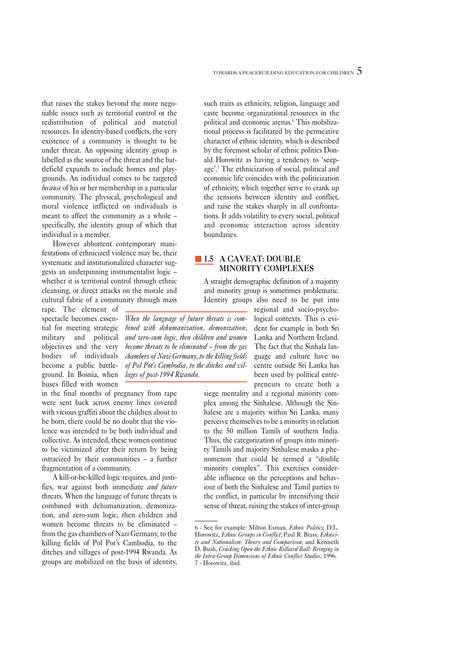that raises the stakes beyond the more negotiable issues such as territorial control or the redistribution of political and material resources. In identity-based conflicts, the very existence of a community is thought to be under threat. An opposing identity group is labelled as the source of the threat and the battlefield expands to include homes and playgrounds. An individual comes to be targeted *because* of his or her membership in a particular community. The physical, psychological and moral violence inflicted on individuals is meant to affect the community as a whole – specifically, the identity group of which that individual is a member.

However abhorrent contemporary manifestations of ethnicized violence may be, their systematic and institutionalized character suggests an underpinning instrumentalist logic – whether it is territorial control through ethnic cleansing, or direct attacks on the morale and cultural fabric of a community through mass

rape. The element of spectacle becomes essential for meeting strategic military and political objectives and the very bodies of individuals become a public battleground. In Bosnia, when buses filled with women

in the final months of pregnancy from rape were sent back across enemy lines covered with vicious graffiti about the children about to be born, there could be no doubt that the violence was intended to be both individual and collective. As intended, these women continue to be victimized after their return by being ostracized by their communities – a further fragmentation of a community.

A kill-or-be-killed logic requires, and justifies, war against both immediate *and future* threats. When the language of future threats is combined with dehumanization, demonization, and zero-sum logic, then children and women become threats to be eliminated – from the gas chambers of Nazi Germany, to the killing fields of Pol Pot's Cambodia, to the ditches and villages of post-1994 Rwanda. As groups are mobilized on the basis of identity, such traits as ethnicity, religion, language and caste become organizational resources in the political and economic arenas.<sup>6</sup> This mobilizational process is facilitated by the permeative character of ethnic identity, which is described by the foremost scholar of ethnic politics Donald Horowitz as having a tendency to 'seepage'.7 The ethnicization of social, political and economic life coincides with the politicization of ethnicity, which together serve to crank up the tensions between identity and conflict, and raise the stakes sharply in all confrontations. It adds volatility to every social, political and economic interaction across identity boundaries.

#### 1.5 A CAVEAT: DOUBLE MINORITY COMPLEXES

A straight demographic definition of a majority and minority group is sometimes problematic. Identity groups also need to be put into

*When the language of future threats is combined with dehumanization, demonization, and zero-sum logic, then children and women become threats to be eliminated – from the gas chambers of Nazi Germany, to the killing fields of Pol Pot's Cambodia, to the ditches and villages of post-1994 Rwanda.* 

regional and socio-psychological contexts. This is evident for example in both Sri Lanka and Northern Ireland. The fact that the Sinhala language and culture have no centre outside Sri Lanka has been used by political entrepreneurs to create both a

siege mentality and a regional minority complex among the Sinhalese. Although the Sinhalese are a majority within Sri Lanka, many perceive themselves to be a minority in relation to the 50 million Tamils of southern India. Thus, the categorization of groups into minority Tamils and majority Sinhalese masks a phenomenon that could be termed a "double minority complex". This exercises considerable influence on the perceptions and behaviour of both the Sinhalese and Tamil parties to the conflict, in particular by intensifying their sense of threat, raising the stakes of inter-group

<sup>6 -</sup> See for example: Milton Esman, *Ethnic Politics*; D.L. Horowitz, *Ethnic Groups in Conflict;* Paul R. Brass, *Ethnicity and Nationalism: Theory and Comparison*; and Kenneth D. Bush, *Cracking Open the Ethnic Billiard Ball: Bringing in the Intra-Group Dimensions of Ethnic Conflict Studies*, 1996. 7 - Horowitz, ibid.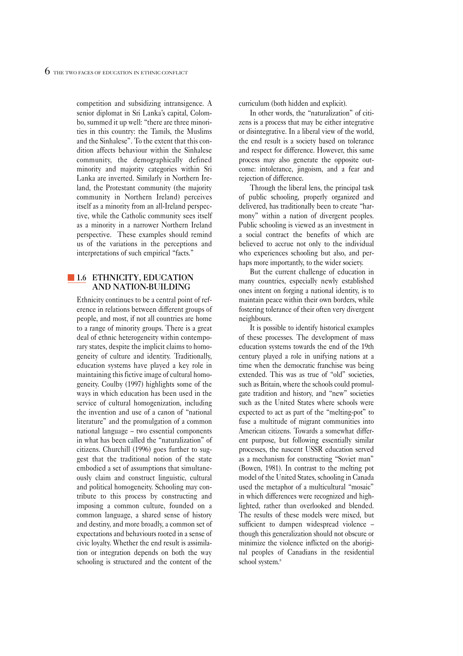competition and subsidizing intransigence. A senior diplomat in Sri Lanka's capital, Colombo, summed it up well: "there are three minorities in this country: the Tamils, the Muslims and the Sinhalese". To the extent that this condition affects behaviour within the Sinhalese community, the demographically defined minority and majority categories within Sri Lanka are inverted. Similarly in Northern Ireland, the Protestant community (the majority community in Northern Ireland) perceives itself as a minority from an all-Ireland perspective, while the Catholic community sees itself as a minority in a narrower Northern Ireland perspective. These examples should remind us of the variations in the perceptions and interpretations of such empirical "facts."

#### **1.6 ETHNICITY, EDUCATION** AND NATION-BUILDING

Ethnicity continues to be a central point of reference in relations between different groups of people, and most, if not all countries are home to a range of minority groups. There is a great deal of ethnic heterogeneity within contemporary states, despite the implicit claims to homogeneity of culture and identity. Traditionally, education systems have played a key role in maintaining this fictive image of cultural homogeneity. Coulby (1997) highlights some of the ways in which education has been used in the service of cultural homogenization, including the invention and use of a canon of "national literature" and the promulgation of a common national language – two essential components in what has been called the "naturalization" of citizens. Churchill (1996) goes further to suggest that the traditional notion of the state embodied a set of assumptions that simultaneously claim and construct linguistic, cultural and political homogeneity. Schooling may contribute to this process by constructing and imposing a common culture, founded on a common language, a shared sense of history and destiny, and more broadly, a common set of expectations and behaviours rooted in a sense of civic loyalty. Whether the end result is assimilation or integration depends on both the way schooling is structured and the content of the curriculum (both hidden and explicit).

In other words, the "naturalization" of citizens is a process that may be either integrative or disintegrative. In a liberal view of the world, the end result is a society based on tolerance and respect for difference. However, this same process may also generate the opposite outcome: intolerance, jingoism, and a fear and rejection of difference.

Through the liberal lens, the principal task of public schooling, properly organized and delivered, has traditionally been to create "harmony" within a nation of divergent peoples. Public schooling is viewed as an investment in a social contract the benefits of which are believed to accrue not only to the individual who experiences schooling but also, and perhaps more importantly, to the wider society.

But the current challenge of education in many countries, especially newly established ones intent on forging a national identity, is to maintain peace within their own borders, while fostering tolerance of their often very divergent neighbours.

It is possible to identify historical examples of these processes. The development of mass education systems towards the end of the 19th century played a role in unifying nations at a time when the democratic franchise was being extended. This was as true of "old" societies, such as Britain, where the schools could promulgate tradition and history, and "new" societies such as the United States where schools were expected to act as part of the "melting-pot" to fuse a multitude of migrant communities into American citizens. Towards a somewhat different purpose, but following essentially similar processes, the nascent USSR education served as a mechanism for constructing "Soviet man" (Bowen, 1981). In contrast to the melting pot model of the United States, schooling in Canada used the metaphor of a multicultural "mosaic" in which differences were recognized and highlighted, rather than overlooked and blended. The results of these models were mixed, but sufficient to dampen widespread violence – though this generalization should not obscure or minimize the violence inflicted on the aboriginal peoples of Canadians in the residential school system. 8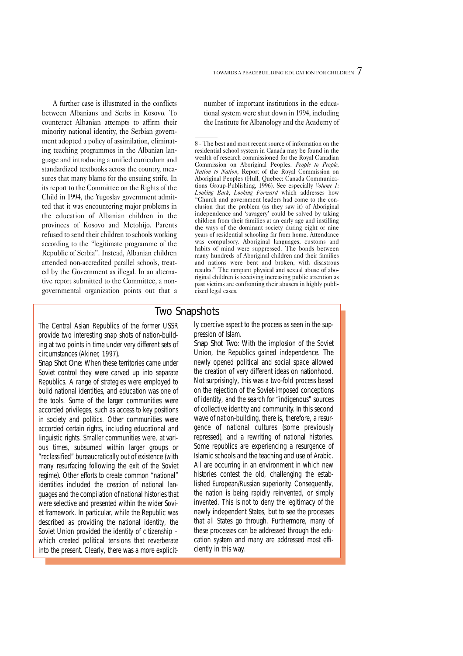A further case is illustrated in the conflicts between Albanians and Serbs in Kosovo. To counteract Albanian attempts to affirm their minority national identity, the Serbian government adopted a policy of assimilation, eliminating teaching programmes in the Albanian language and introducing a unified curriculum and standardized textbooks across the country, measures that many blame for the ensuing strife. In its report to the Committee on the Rights of the Child in 1994, the Yugoslav government admitted that it was encountering major problems in the education of Albanian children in the provinces of Kosovo and Metohijo. Parents refused to send their children to schools working according to the "legitimate programme of the Republic of Serbia". Instead, Albanian children attended non-accredited parallel schools, treated by the Government as illegal. In an alternative report submitted to the Committee, a nongovernmental organization points out that a number of important institutions in the educational system were shut down in 1994, including the Institute for Albanology and the Academy of

#### **Two Snapshots**

The Central Asian Republics of the former USSR provide two interesting snap shots of nation-building at two points in time under very different sets of circumstances (Akiner, 1997).

*Snap Shot One:* When these territories came under Soviet control they were carved up into separate Republics. A range of strategies were employed to build national identities, and education was one of the tools. Some of the larger communities were accorded privileges, such as access to key positions in society and politics. Other communities were accorded certain rights, including educational and linguistic rights. Smaller communities were, at various times, subsumed within larger groups or "reclassified" bureaucratically out of existence (with many resurfacing following the exit of the Soviet regime). Other efforts to create common "national" identities included the creation of national languages and the compilation of national histories that were selective and presented within the wider Soviet framework. In particular, while the Republic was described as providing the national identity, the Soviet Union provided the identity of citizenship – which created political tensions that reverberate into the present. Clearly, there was a more explicitly coercive aspect to the process as seen in the suppression of Islam.

*Snap Shot Two:* With the implosion of the Soviet Union, the Republics gained independence. The newly opened political and social space allowed the creation of very different ideas on nationhood. Not surprisingly, this was a two-fold process based on the rejection of the Soviet-imposed conceptions of identity, and the search for "indigenous" sources of collective identity and community. In this second wave of nation-building, there is, therefore, a resurgence of national cultures (some previously repressed), and a rewriting of national histories. Some republics are experiencing a resurgence of Islamic schools and the teaching and use of Arabic. All are occurring in an environment in which new histories contest the old, challenging the established European/Russian superiority. Consequently, the nation is being rapidly reinvented, or simply invented. This is not to deny the legitimacy of the newly independent States, but to see the processes that all States go through. Furthermore, many of these processes can be addressed through the education system and many are addressed most efficiently in this way.

<sup>8 -</sup> The best and most recent source of information on the residential school system in Canada may be found in the wealth of research commissioned for the Royal Canadian Commission on Aboriginal Peoples. *People to People, Nation to Nation,* Report of the Royal Commission on Aboriginal Peoples (Hull, Quebec: Canada Communications Group-Publishing, 1996). See especially *Volume 1: Looking Back, Looking Forward* which addresses how "Church and government leaders had come to the conclusion that the problem (as they saw it) of Aboriginal independence and 'savagery' could be solved by taking children from their families at an early age and instilling the ways of the dominant society during eight or nine years of residential schooling far from home. Attendance was compulsory. Aboriginal languages, customs and habits of mind were suppressed. The bonds between many hundreds of Aboriginal children and their families and nations were bent and broken, with disastrous results." The rampant physical and sexual abuse of aboriginal children is receiving increasing public attention as past victims are confronting their abusers in highly publicized legal cases.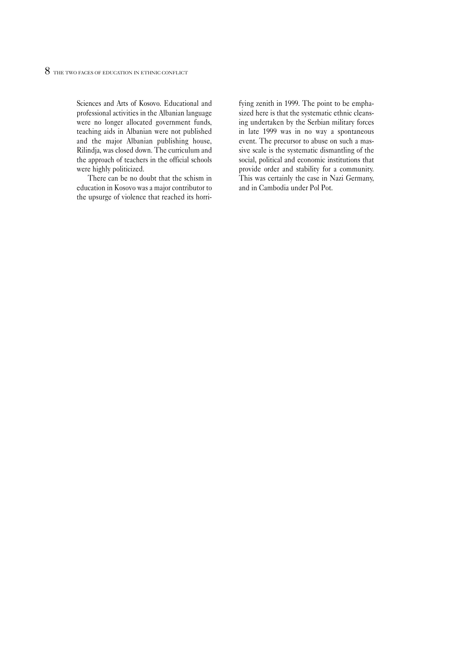Sciences and Arts of Kosovo. Educational and professional activities in the Albanian language were no longer allocated government funds, teaching aids in Albanian were not published and the major Albanian publishing house, Rilindja, was closed down. The curriculum and the approach of teachers in the official schools were highly politicized.

There can be no doubt that the schism in education in Kosovo was a major contributor to the upsurge of violence that reached its horrifying zenith in 1999. The point to be emphasized here is that the systematic ethnic cleansing undertaken by the Serbian military forces in late 1999 was in no way a spontaneous event. The precursor to abuse on such a massive scale is the systematic dismantling of the social, political and economic institutions that provide order and stability for a community. This was certainly the case in Nazi Germany, and in Cambodia under Pol Pot.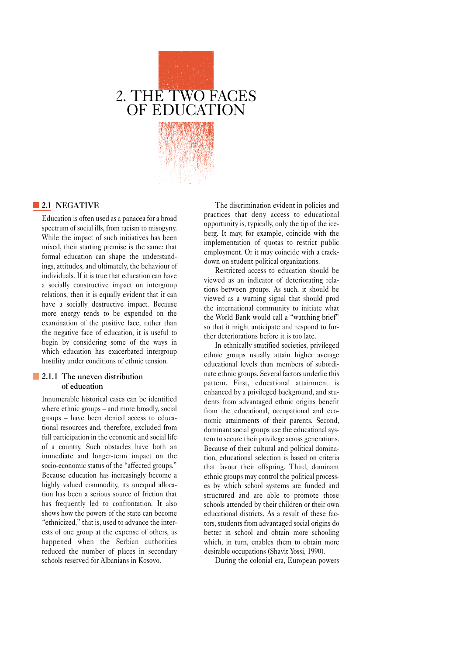# 2. THE TWO FACES OF EDUCATION



#### **2.1 NEGATIVE**

Education is often used as a panacea for a broad spectrum of social ills, from racism to misogyny. While the impact of such initiatives has been mixed, their starting premise is the same: that formal education can shape the understandings, attitudes, and ultimately, the behaviour of individuals. If it is true that education can have a socially constructive impact on intergroup relations, then it is equally evident that it can have a socially destructive impact. Because more energy tends to be expended on the examination of the positive face, rather than the negative face of education, it is useful to begin by considering some of the ways in which education has exacerbated intergroup hostility under conditions of ethnic tension.

#### 2.1.1 The uneven distribution of education

Innumerable historical cases can be identified where ethnic groups – and more broadly, social groups – have been denied access to educational resources and, therefore, excluded from full participation in the economic and social life of a country. Such obstacles have both an immediate and longer-term impact on the socio-economic status of the "affected groups." Because education has increasingly become a highly valued commodity, its unequal allocation has been a serious source of friction that has frequently led to confrontation. It also shows how the powers of the state can become "ethnicized," that is, used to advance the interests of one group at the expense of others, as happened when the Serbian authorities reduced the number of places in secondary schools reserved for Albanians in Kosovo.

The discrimination evident in policies and practices that deny access to educational opportunity is, typically, only the tip of the iceberg. It may, for example, coincide with the implementation of quotas to restrict public employment. Or it may coincide with a crackdown on student political organizations.

Restricted access to education should be viewed as an indicator of deteriorating relations between groups. As such, it should be viewed as a warning signal that should prod the international community to initiate what the World Bank would call a "watching brief" so that it might anticipate and respond to further deteriorations before it is too late.

In ethnically stratified societies, privileged ethnic groups usually attain higher average educational levels than members of subordinate ethnic groups. Several factors underlie this pattern. First, educational attainment is enhanced by a privileged background, and students from advantaged ethnic origins benefit from the educational, occupational and economic attainments of their parents. Second, dominant social groups use the educational system to secure their privilege across generations. Because of their cultural and political domination, educational selection is based on criteria that favour their offspring. Third, dominant ethnic groups may control the political processes by which school systems are funded and structured and are able to promote those schools attended by their children or their own educational districts. As a result of these factors, students from advantaged social origins do better in school and obtain more schooling which, in turn, enables them to obtain more desirable occupations (Shavit Yossi, 1990).

During the colonial era, European powers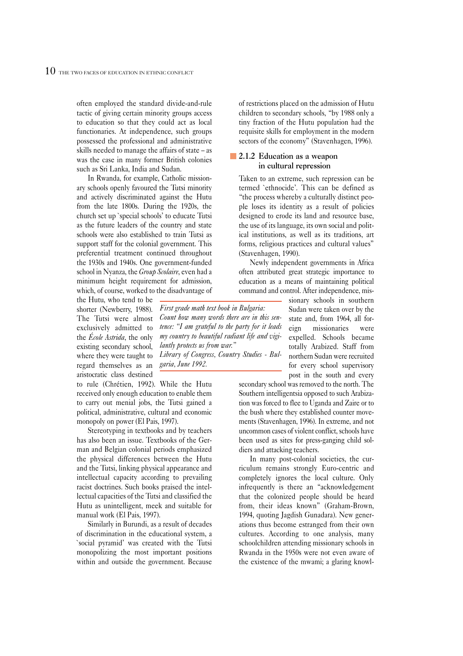often employed the standard divide-and-rule tactic of giving certain minority groups access to education so that they could act as local functionaries. At independence, such groups possessed the professional and administrative skills needed to manage the affairs of state – as was the case in many former British colonies such as Sri Lanka, India and Sudan.

In Rwanda, for example, Catholic missionary schools openly favoured the Tutsi minority and actively discriminated against the Hutu from the late 1800s. During the 1920s, the church set up `special schools' to educate Tutsi as the future leaders of the country and state schools were also established to train Tutsi as support staff for the colonial government. This preferential treatment continued throughout the 1930s and 1940s. One government-funded school in Nyanza, the *Group Scolaire*, even had a minimum height requirement for admission, which, of course, worked to the disadvantage of

the Hutu, who tend to be shorter (Newberry, 1988). The Tutsi were almost exclusively admitted to the *École Astrida*, the only existing secondary school, where they were taught to regard themselves as an aristocratic class destined

to rule (Chrétien, 1992). While the Hutu received only enough education to enable them to carry out menial jobs, the Tutsi gained a political, administrative, cultural and economic monopoly on power (El Pais, 1997).

Stereotyping in textbooks and by teachers has also been an issue. Textbooks of the German and Belgian colonial periods emphasized the physical differences between the Hutu and the Tutsi, linking physical appearance and intellectual capacity according to prevailing racist doctrines. Such books praised the intellectual capacities of the Tutsi and classified the Hutu as unintelligent, meek and suitable for manual work (El Pais, 1997).

Similarly in Burundi, as a result of decades of discrimination in the educational system, a `social pyramid' was created with the Tutsi monopolizing the most important positions within and outside the government. Because of restrictions placed on the admission of Hutu children to secondary schools, "by 1988 only a tiny fraction of the Hutu population had the requisite skills for employment in the modern sectors of the economy" (Stavenhagen, 1996).

#### **2.1.2 Education as a weapon** in cultural repression

Taken to an extreme, such repression can be termed `ethnocide'. This can be defined as "the process whereby a culturally distinct people loses its identity as a result of policies designed to erode its land and resource base, the use of its language, its own social and political institutions, as well as its traditions, art forms, religious practices and cultural values" (Stavenhagen, 1990).

Newly independent governments in Africa often attributed great strategic importance to education as a means of maintaining political command and control. After independence, mis-

*First grade math text book in Bulgaria: Count how many words there are in this sentence: "I am grateful to the party for it leads my country to beautiful radiant life and vigilantly protects us from war." Library of Congress, Country Studies - Bulgaria, June 1992.*

sionary schools in southern Sudan were taken over by the state and, from 1964, all foreign missionaries were expelled. Schools became totally Arabized. Staff from northern Sudan were recruited for every school supervisory post in the south and every

secondary school was removed to the north. The Southern intelligentsia opposed to such Arabization was forced to flee to Uganda and Zaire or to the bush where they established counter movements (Stavenhagen, 1996). In extreme, and not uncommon cases of violent conflict, schools have been used as sites for press-ganging child soldiers and attacking teachers.

In many post-colonial societies, the curriculum remains strongly Euro-centric and completely ignores the local culture. Only infrequently is there an "acknowledgement that the colonized people should be heard from, their ideas known" (Graham-Brown, 1994, quoting Jagdish Gunadara). New generations thus become estranged from their own cultures. According to one analysis, many schoolchildren attending missionary schools in Rwanda in the 1950s were not even aware of the existence of the mwami; a glaring knowl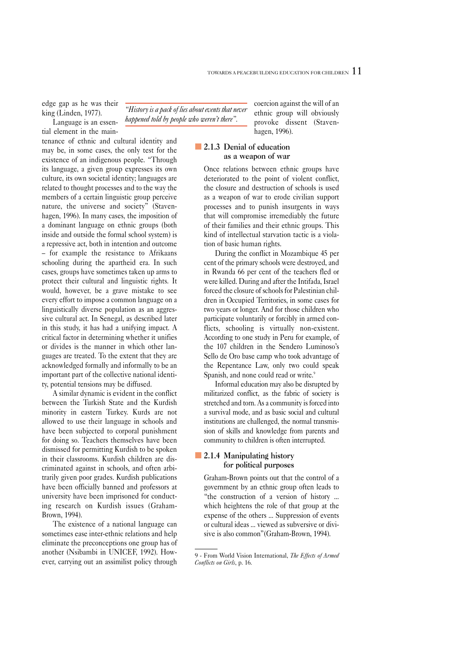edge gap as he was their king (Linden, 1977).

Language is an essential element in the main-

tenance of ethnic and cultural identity and may be, in some cases, the only test for the existence of an indigenous people. "Through its language, a given group expresses its own culture, its own societal identity; languages are related to thought processes and to the way the members of a certain linguistic group perceive nature, the universe and society" (Stavenhagen, 1996). In many cases, the imposition of a dominant language on ethnic groups (both inside and outside the formal school system) is a repressive act, both in intention and outcome – for example the resistance to Afrikaans schooling during the apartheid era. In such cases, groups have sometimes taken up arms to protect their cultural and linguistic rights. It would, however, be a grave mistake to see every effort to impose a common language on a linguistically diverse population as an aggressive cultural act. In Senegal, as described later in this study, it has had a unifying impact. A critical factor in determining whether it unifies or divides is the manner in which other languages are treated. To the extent that they are acknowledged formally and informally to be an important part of the collective national identity, potential tensions may be diffused.

A similar dynamic is evident in the conflict between the Turkish State and the Kurdish minority in eastern Turkey. Kurds are not allowed to use their language in schools and have been subjected to corporal punishment for doing so. Teachers themselves have been dismissed for permitting Kurdish to be spoken in their classrooms. Kurdish children are discriminated against in schools, and often arbitrarily given poor grades. Kurdish publications have been officially banned and professors at university have been imprisoned for conducting research on Kurdish issues (Graham-Brown, 1994).

The existence of a national language can sometimes ease inter-ethnic relations and help eliminate the preconceptions one group has of another (Nsibambi in UNICEF, 1992). However, carrying out an assimilist policy through

*"History is a pack of lies about events that never happened told by people who weren't there".* 

coercion against the will of an ethnic group will obviously provoke dissent (Stavenhagen, 1996).

#### 2.1.3 Denial of education as a weapon of war

Once relations between ethnic groups have deteriorated to the point of violent conflict, the closure and destruction of schools is used as a weapon of war to erode civilian support processes and to punish insurgents in ways that will compromise irremediably the future of their families and their ethnic groups. This kind of intellectual starvation tactic is a violation of basic human rights.

During the conflict in Mozambique 45 per cent of the primary schools were destroyed, and in Rwanda 66 per cent of the teachers fled or were killed. During and after the Intifada, Israel forced the closure of schools for Palestinian children in Occupied Territories, in some cases for two years or longer. And for those children who participate voluntarily or forcibly in armed conflicts, schooling is virtually non-existent. According to one study in Peru for example, of the 107 children in the Sendero Luminoso's Sello de Oro base camp who took advantage of the Repentance Law, only two could speak Spanish, and none could read or write.<sup>9</sup>

Informal education may also be disrupted by militarized conflict, as the fabric of society is stretched and torn. As a community is forced into a survival mode, and as basic social and cultural institutions are challenged, the normal transmission of skills and knowledge from parents and community to children is often interrupted.

#### **2.1.4 Manipulating history** for political purposes

Graham-Brown points out that the control of a government by an ethnic group often leads to "the construction of a version of history ... which heightens the role of that group at the expense of the others ... Suppression of events or cultural ideas ... viewed as subversive or divisive is also common"(Graham-Brown, 1994).

<sup>9 -</sup> From World Vision International, *The Effects of Armed Conflicts on Girls*, p. 16.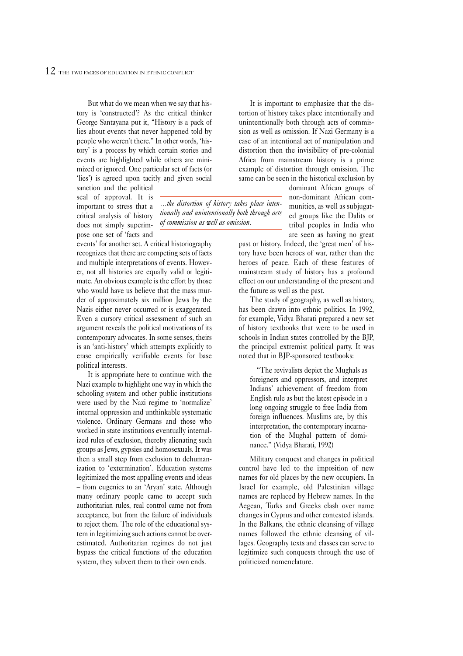But what do we mean when we say that history is 'constructed'? As the critical thinker George Santayana put it, "History is a pack of lies about events that never happened told by people who weren't there." In other words, 'history' is a process by which certain stories and events are highlighted while others are minimized or ignored. One particular set of facts (or 'lies') is agreed upon tacitly and given social sanction and the political

> *…the distortion of history takes place intentionally and unintentionally both through acts*

*of commission as well as omission.* 

seal of approval. It is important to stress that a critical analysis of history does not simply superimpose one set of 'facts and

events' for another set. A critical historiography recognizes that there are competing sets of facts and multiple interpretations of events. However, not all histories are equally valid or legitimate. An obvious example is the effort by those who would have us believe that the mass murder of approximately six million Jews by the Nazis either never occurred or is exaggerated. Even a cursory critical assessment of such an argument reveals the political motivations of its contemporary advocates. In some senses, theirs is an 'anti-history' which attempts explicitly to erase empirically verifiable events for base political interests.

It is appropriate here to continue with the Nazi example to highlight one way in which the schooling system and other public institutions were used by the Nazi regime to 'normalize' internal oppression and unthinkable systematic violence. Ordinary Germans and those who worked in state institutions eventually internalized rules of exclusion, thereby alienating such groups as Jews, gypsies and homosexuals. It was then a small step from exclusion to dehumanization to 'extermination'. Education systems legitimized the most appalling events and ideas – from eugenics to an 'Aryan' state. Although many ordinary people came to accept such authoritarian rules, real control came not from acceptance, but from the failure of individuals to reject them. The role of the educational system in legitimizing such actions cannot be overestimated. Authoritarian regimes do not just bypass the critical functions of the education system, they subvert them to their own ends.

It is important to emphasize that the distortion of history takes place intentionally and unintentionally both through acts of commission as well as omission. If Nazi Germany is a case of an intentional act of manipulation and distortion then the invisibility of pre-colonial Africa from mainstream history is a prime example of distortion through omission. The same can be seen in the historical exclusion by

dominant African groups of non-dominant African communities, as well as subjugated groups like the Dalits or tribal peoples in India who are seen as having no great

past or history. Indeed, the 'great men' of history have been heroes of war, rather than the heroes of peace. Each of these features of mainstream study of history has a profound effect on our understanding of the present and the future as well as the past.

The study of geography, as well as history, has been drawn into ethnic politics. In 1992, for example, Vidya Bharati prepared a new set of history textbooks that were to be used in schools in Indian states controlled by the BJP, the principal extremist political party. It was noted that in BJP-sponsored textbooks:

"The revivalists depict the Mughals as foreigners and oppressors, and interpret Indians' achievement of freedom from English rule as but the latest episode in a long ongoing struggle to free India from foreign influences. Muslims are, by this interpretation, the contemporary incarnation of the Mughal pattern of dominance." (Vidya Bharati, 1992)

Military conquest and changes in political control have led to the imposition of new names for old places by the new occupiers. In Israel for example, old Palestinian village names are replaced by Hebrew names. In the Aegean, Turks and Greeks clash over name changes in Cyprus and other contested islands. In the Balkans, the ethnic cleansing of village names followed the ethnic cleansing of villages. Geography texts and classes can serve to legitimize such conquests through the use of politicized nomenclature.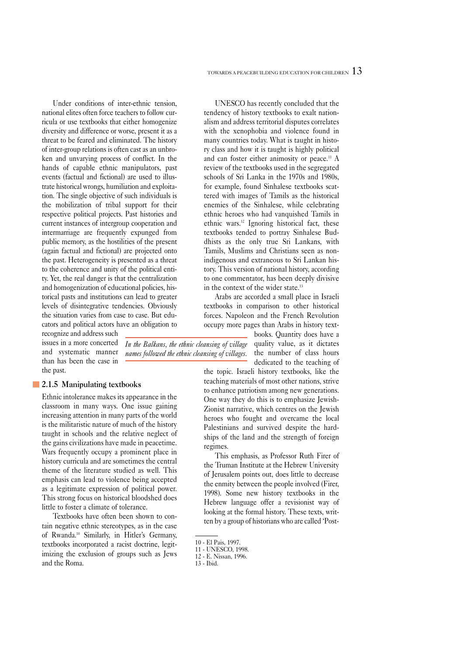Under conditions of inter-ethnic tension, national elites often force teachers to follow curricula or use textbooks that either homogenize diversity and difference or worse, present it as a threat to be feared and eliminated. The history of inter-group relations is often cast as an unbroken and unvarying process of conflict. In the hands of capable ethnic manipulators, past events (factual and fictional) are used to illustrate historical wrongs, humiliation and exploitation. The single objective of such individuals is the mobilization of tribal support for their respective political projects. Past histories and current instances of intergroup cooperation and intermarriage are frequently expunged from public memory, as the hostilities of the present (again factual and fictional) are projected onto the past. Heterogeneity is presented as a threat to the coherence and unity of the political entity. Yet, the real danger is that the centralization and homogenization of educational policies, historical pasts and institutions can lead to greater levels of disintegrative tendencies. Obviously the situation varies from case to case. But educators and political actors have an obligation to

recognize and address such issues in a more concerted and systematic manner than has been the case in the past.

#### **2.1.5 Manipulating textbooks**

Ethnic intolerance makes its appearance in the classroom in many ways. One issue gaining increasing attention in many parts of the world is the militaristic nature of much of the history taught in schools and the relative neglect of the gains civilizations have made in peacetime. Wars frequently occupy a prominent place in history curricula and are sometimes the central theme of the literature studied as well. This emphasis can lead to violence being accepted as a legitimate expression of political power. This strong focus on historical bloodshed does little to foster a climate of tolerance.

Textbooks have often been shown to contain negative ethnic stereotypes, as in the case of Rwanda.10 Similarly, in Hitler's Germany, textbooks incorporated a racist doctrine, legitimizing the exclusion of groups such as Jews and the Roma.

*In the Balkans, the ethnic cleansing of village names followed the ethnic cleansing of villages.* 

UNESCO has recently concluded that the tendency of history textbooks to exalt nationalism and address territorial disputes correlates with the xenophobia and violence found in many countries today. What is taught in history class and how it is taught is highly political and can foster either animosity or peace.11 A review of the textbooks used in the segregated schools of Sri Lanka in the 1970s and 1980s, for example, found Sinhalese textbooks scattered with images of Tamils as the historical enemies of the Sinhalese, while celebrating ethnic heroes who had vanquished Tamils in ethnic wars.12 Ignoring historical fact, these textbooks tended to portray Sinhalese Buddhists as the only true Sri Lankans, with Tamils, Muslims and Christians seen as nonindigenous and extraneous to Sri Lankan history. This version of national history, according to one commentator, has been deeply divisive in the context of the wider state.<sup>13</sup>

Arabs are accorded a small place in Israeli textbooks in comparison to other historical forces. Napoleon and the French Revolution occupy more pages than Arabs in history text-

> books. Quantity does have a quality value, as it dictates the number of class hours dedicated to the teaching of

the topic. Israeli history textbooks, like the teaching materials of most other nations, strive to enhance patriotism among new generations. One way they do this is to emphasize Jewish-Zionist narrative, which centres on the Jewish heroes who fought and overcame the local Palestinians and survived despite the hardships of the land and the strength of foreign regimes.

This emphasis, as Professor Ruth Firer of the Truman Institute at the Hebrew University of Jerusalem points out, does little to decrease the enmity between the people involved (Firer, 1998). Some new history textbooks in the Hebrew language offer a revisionist way of looking at the formal history. These texts, written by a group of historians who are called 'Post-

<sup>10 -</sup> El Pais, 1997.

<sup>11 -</sup> UNESCO, 1998. 12 - E. Nissan, 1996.

<sup>13 -</sup> Ibid.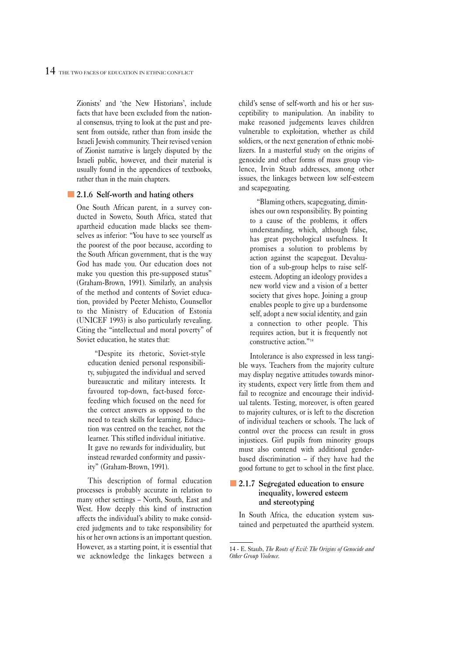Zionists' and 'the New Historians', include facts that have been excluded from the national consensus, trying to look at the past and present from outside, rather than from inside the Israeli Jewish community. Their revised version of Zionist narrative is largely disputed by the Israeli public, however, and their material is usually found in the appendices of textbooks, rather than in the main chapters.

#### 2.1.6 Self-worth and hating others

One South African parent, in a survey conducted in Soweto, South Africa, stated that apartheid education made blacks see themselves as inferior: "You have to see yourself as the poorest of the poor because, according to the South African government, that is the way God has made you. Our education does not make you question this pre-supposed status" (Graham-Brown, 1991). Similarly, an analysis of the method and contents of Soviet education, provided by Peeter Mehisto, Counsellor to the Ministry of Education of Estonia (UNICEF 1993) is also particularly revealing. Citing the "intellectual and moral poverty" of Soviet education, he states that:

"Despite its rhetoric, Soviet-style education denied personal responsibility, subjugated the individual and served bureaucratic and military interests. It favoured top-down, fact-based forcefeeding which focused on the need for the correct answers as opposed to the need to teach skills for learning. Education was centred on the teacher, not the learner. This stifled individual initiative. It gave no rewards for individuality, but instead rewarded conformity and passivity" (Graham-Brown, 1991).

This description of formal education processes is probably accurate in relation to many other settings – North, South, East and West. How deeply this kind of instruction affects the individual's ability to make considered judgments and to take responsibility for his or her own actions is an important question. However, as a starting point, it is essential that we acknowledge the linkages between a child's sense of self-worth and his or her susceptibility to manipulation. An inability to make reasoned judgements leaves children vulnerable to exploitation, whether as child soldiers, or the next generation of ethnic mobilizers. In a masterful study on the origins of genocide and other forms of mass group violence, Irvin Staub addresses, among other issues, the linkages between low self-esteem and scapegoating.

"Blaming others, scapegoating, diminishes our own responsibility. By pointing to a cause of the problems, it offers understanding, which, although false, has great psychological usefulness. It promises a solution to problems by action against the scapegoat. Devaluation of a sub-group helps to raise selfesteem. Adopting an ideology provides a new world view and a vision of a better society that gives hope. Joining a group enables people to give up a burdensome self, adopt a new social identity, and gain a connection to other people. This requires action, but it is frequently not constructive action."14

Intolerance is also expressed in less tangible ways. Teachers from the majority culture may display negative attitudes towards minority students, expect very little from them and fail to recognize and encourage their individual talents. Testing, moreover, is often geared to majority cultures, or is left to the discretion of individual teachers or schools. The lack of control over the process can result in gross injustices. Girl pupils from minority groups must also contend with additional genderbased discrimination – if they have had the good fortune to get to school in the first place.

#### 2.1.7 Segregated education to ensure inequality, lowered esteem and stereotyping

In South Africa, the education system sustained and perpetuated the apartheid system.

<sup>14 -</sup> E. Staub, *The Roots of Evil: The Origins of Genocide and Other Group Violence* .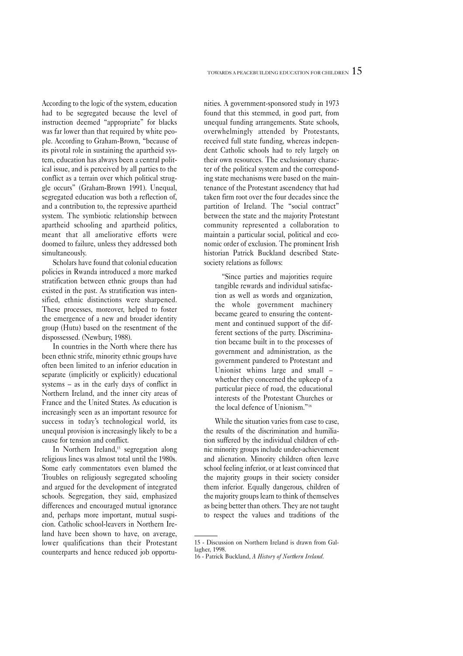According to the logic of the system, education had to be segregated because the level of instruction deemed "appropriate" for blacks was far lower than that required by white people. According to Graham-Brown, "because of its pivotal role in sustaining the apartheid system, education has always been a central political issue, and is perceived by all parties to the conflict as a terrain over which political struggle occurs" (Graham-Brown 1991). Unequal, segregated education was both a reflection of, and a contribution to, the repressive apartheid system. The symbiotic relationship between apartheid schooling and apartheid politics, meant that all ameliorative efforts were doomed to failure, unless they addressed both simultaneously.

Scholars have found that colonial education policies in Rwanda introduced a more marked stratification between ethnic groups than had existed in the past. As stratification was intensified, ethnic distinctions were sharpened. These processes, moreover, helped to foster the emergence of a new and broader identity group (Hutu) based on the resentment of the dispossessed. (Newbury, 1988).

In countries in the North where there has been ethnic strife, minority ethnic groups have often been limited to an inferior education in separate (implicitly or explicitly) educational systems – as in the early days of conflict in Northern Ireland, and the inner city areas of France and the United States. As education is increasingly seen as an important resource for success in today's technological world, its unequal provision is increasingly likely to be a cause for tension and conflict.

In Northern Ireland,<sup>15</sup> segregation along religious lines was almost total until the 1980s. Some early commentators even blamed the Troubles on religiously segregated schooling and argued for the development of integrated schools. Segregation, they said, emphasized differences and encouraged mutual ignorance and, perhaps more important, mutual suspicion. Catholic school-leavers in Northern Ireland have been shown to have, on average, lower qualifications than their Protestant counterparts and hence reduced job opportunities. A government-sponsored study in 1973 found that this stemmed, in good part, from unequal funding arrangements. State schools, overwhelmingly attended by Protestants, received full state funding, whereas independent Catholic schools had to rely largely on their own resources. The exclusionary character of the political system and the corresponding state mechanisms were based on the maintenance of the Protestant ascendency that had taken firm root over the four decades since the partition of Ireland. The "social contract" between the state and the majority Protestant community represented a collaboration to maintain a particular social, political and economic order of exclusion. The prominent Irish historian Patrick Buckland described Statesociety relations as follows:

"Since parties and majorities require tangible rewards and individual satisfaction as well as words and organization, the whole government machinery became geared to ensuring the contentment and continued support of the different sections of the party. Discrimination became built in to the processes of government and administration, as the government pandered to Protestant and Unionist whims large and small – whether they concerned the upkeep of a particular piece of road, the educational interests of the Protestant Churches or the local defence of Unionism."16

While the situation varies from case to case, the results of the discrimination and humiliation suffered by the individual children of ethnic minority groups include under-achievement and alienation. Minority children often leave school feeling inferior, or at least convinced that the majority groups in their society consider them inferior. Equally dangerous, children of the majority groups learn to think of themselves as being better than others. They are not taught to respect the values and traditions of the

<sup>15 -</sup> Discussion on Northern Ireland is drawn from Gallagher, 1998.

<sup>16 -</sup> Patrick Buckland, *A History of Northern Ireland*.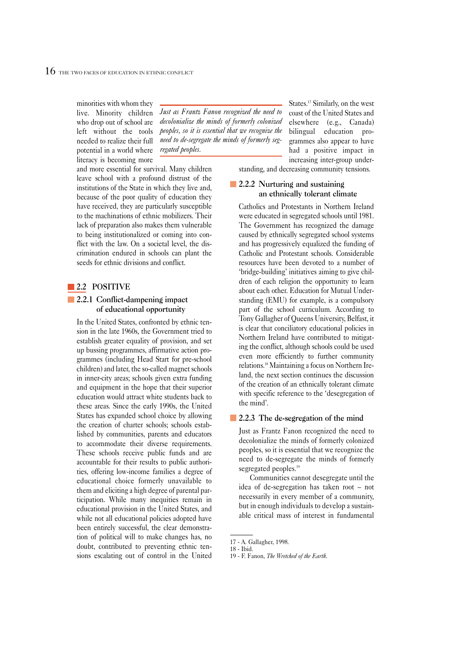minorities with whom they live. Minority children who drop out of school are left without the tools needed to realize their full potential in a world where literacy is becoming more

*Just as Frantz Fanon recognized the need to decolonialize the minds of formerly colonized peoples, so it is essential that we recognize the need to de-segregate the minds of formerly segregated peoples.*

and more essential for survival. Many children leave school with a profound distrust of the institutions of the State in which they live and, because of the poor quality of education they have received, they are particularly susceptible to the machinations of ethnic mobilizers. Their lack of preparation also makes them vulnerable to being institutionalized or coming into conflict with the law. On a societal level, the discrimination endured in schools can plant the seeds for ethnic divisions and conflict.

#### **2.2 POSITIVE**

#### 2.2.1 Conflict-dampening impact of educational opportunity

In the United States, confronted by ethnic tension in the late 1960s, the Government tried to establish greater equality of provision, and set up bussing programmes, affirmative action programmes (including Head Start for pre-school children) and later, the so-called magnet schools in inner-city areas; schools given extra funding and equipment in the hope that their superior education would attract white students back to these areas. Since the early 1990s, the United States has expanded school choice by allowing the creation of charter schools; schools established by communities, parents and educators to accommodate their diverse requirements. These schools receive public funds and are accountable for their results to public authorities, offering low-income families a degree of educational choice formerly unavailable to them and eliciting a high degree of parental participation. While many inequities remain in educational provision in the United States, and while not all educational policies adopted have been entirely successful, the clear demonstration of political will to make changes has, no doubt, contributed to preventing ethnic tensions escalating out of control in the United States.17 Similarly, on the west coast of the United States and elsewhere (e.g., Canada) bilingual education programmes also appear to have had a positive impact in increasing inter-group under-

standing, and decreasing community tensions.

#### 2.2.2 Nurturing and sustaining an ethnically tolerant climate

Catholics and Protestants in Northern Ireland were educated in segregated schools until 1981. The Government has recognized the damage caused by ethnically segregated school systems and has progressively equalized the funding of Catholic and Protestant schools. Considerable resources have been devoted to a number of 'bridge-building' initiatives aiming to give children of each religion the opportunity to learn about each other. Education for Mutual Understanding (EMU) for example, is a compulsory part of the school curriculum. According to Tony Gallagher of Queens University, Belfast, it is clear that conciliatory educational policies in Northern Ireland have contributed to mitigating the conflict, although schools could be used even more efficiently to further community relations.18 Maintaining a focus on Northern Ireland, the next section continues the discussion of the creation of an ethnically tolerant climate with specific reference to the 'desegregation of the mind'.

#### 2.2.3 The de-segregation of the mind

Just as Frantz Fanon recognized the need to decolonialize the minds of formerly colonized peoples, so it is essential that we recognize the need to de-segregate the minds of formerly segregated peoples.<sup>19</sup>

Communities cannot desegregate until the idea of de-segregation has taken root – not necessarily in every member of a community, but in enough individuals to develop a sustainable critical mass of interest in fundamental

<sup>17 -</sup> A. Gallagher, 1998.

<sup>18 -</sup> Ibid.

<sup>19 -</sup> F. Fanon, *The Wretched of the Earth*.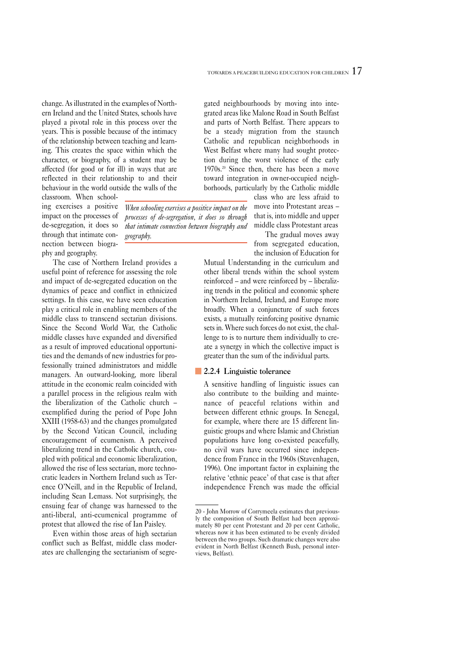change. As illustrated in the examples of Northern Ireland and the United States, schools have played a pivotal role in this process over the years. This is possible because of the intimacy of the relationship between teaching and learning. This creates the space within which the character, or biography, of a student may be affected (for good or for ill) in ways that are reflected in their relationship to and their behaviour in the world outside the walls of the

*geography.* 

*When schooling exercises a positive impact on the processes of de-segregation, it does so through that intimate connection between biography and*

classroom. When schooling exercises a positive impact on the processes of de-segregation, it does so through that intimate connection between biography and geography.

The case of Northern Ireland provides a useful point of reference for assessing the role and impact of de-segregated education on the dynamics of peace and conflict in ethnicized settings. In this case, we have seen education play a critical role in enabling members of the middle class to transcend sectarian divisions. Since the Second World War, the Catholic middle classes have expanded and diversified as a result of improved educational opportunities and the demands of new industries for professionally trained administrators and middle managers. An outward-looking, more liberal attitude in the economic realm coincided with a parallel process in the religious realm with the liberalization of the Catholic church – exemplified during the period of Pope John XXIII (1958-63) and the changes promulgated by the Second Vatican Council, including encouragement of ecumenism. A perceived liberalizing trend in the Catholic church, coupled with political and economic liberalization, allowed the rise of less sectarian, more technocratic leaders in Northern Ireland such as Terence O'Neill, and in the Republic of Ireland, including Sean Lemass. Not surprisingly, the ensuing fear of change was harnessed to the anti-liberal, anti-ecumenical programme of protest that allowed the rise of Ian Paisley.

Even within those areas of high sectarian conflict such as Belfast, middle class moderates are challenging the sectarianism of segregated neighbourhoods by moving into integrated areas like Malone Road in South Belfast and parts of North Belfast. There appears to be a steady migration from the staunch Catholic and republican neighborhoods in West Belfast where many had sought protection during the worst violence of the early 1970s.20 Since then, there has been a move toward integration in owner-occupied neighborhoods, particularly by the Catholic middle

> class who are less afraid to move into Protestant areas – that is, into middle and upper middle class Protestant areas

The gradual moves away from segregated education, the inclusion of Education for

Mutual Understanding in the curriculum and other liberal trends within the school system reinforced – and were reinforced by – liberalizing trends in the political and economic sphere in Northern Ireland, Ireland, and Europe more broadly. When a conjuncture of such forces exists, a mutually reinforcing positive dynamic sets in. Where such forces do not exist, the challenge to is to nurture them individually to create a synergy in which the collective impact is greater than the sum of the individual parts.

#### **2.2.4 Linguistic tolerance**

A sensitive handling of linguistic issues can also contribute to the building and maintenance of peaceful relations within and between different ethnic groups. In Senegal, for example, where there are 15 different linguistic groups and where Islamic and Christian populations have long co-existed peacefully, no civil wars have occurred since independence from France in the 1960s (Stavenhagen, 1996). One important factor in explaining the relative 'ethnic peace' of that case is that after independence French was made the official

<sup>20 -</sup> John Morrow of Corrymeela estimates that previously the composition of South Belfast had been approximately 80 per cent Protestant and 20 per cent Catholic, whereas now it has been estimated to be evenly divided between the two groups. Such dramatic changes were also evident in North Belfast (Kenneth Bush, personal interviews, Belfast).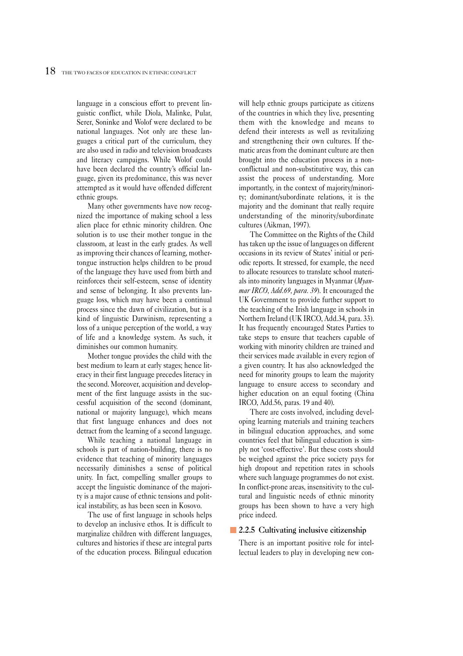language in a conscious effort to prevent linguistic conflict, while Diola, Malinke, Pular, Serer, Soninke and Wolof were declared to be national languages. Not only are these languages a critical part of the curriculum, they are also used in radio and television broadcasts and literacy campaigns. While Wolof could have been declared the country's official language, given its predominance, this was never attempted as it would have offended different ethnic groups.

Many other governments have now recognized the importance of making school a less alien place for ethnic minority children. One solution is to use their mother tongue in the classroom, at least in the early grades. As well as improving their chances of learning, mothertongue instruction helps children to be proud of the language they have used from birth and reinforces their self-esteem, sense of identity and sense of belonging. It also prevents language loss, which may have been a continual process since the dawn of civilization, but is a kind of linguistic Darwinism, representing a loss of a unique perception of the world, a way of life and a knowledge system. As such, it diminishes our common humanity.

Mother tongue provides the child with the best medium to learn at early stages; hence literacy in their first language precedes literacy in the second. Moreover, acquisition and development of the first language assists in the successful acquisition of the second (dominant, national or majority language), which means that first language enhances and does not detract from the learning of a second language.

While teaching a national language in schools is part of nation-building, there is no evidence that teaching of minority languages necessarily diminishes a sense of political unity. In fact, compelling smaller groups to accept the linguistic dominance of the majority is a major cause of ethnic tensions and political instability, as has been seen in Kosovo.

The use of first language in schools helps to develop an inclusive ethos. It is difficult to marginalize children with different languages, cultures and histories if these are integral parts of the education process. Bilingual education

will help ethnic groups participate as citizens of the countries in which they live, presenting them with the knowledge and means to defend their interests as well as revitalizing and strengthening their own cultures. If thematic areas from the dominant culture are then brought into the education process in a nonconflictual and non-substitutive way, this can assist the process of understanding. More importantly, in the context of majority/minority; dominant/subordinate relations, it is the majority and the dominant that really require understanding of the minority/subordinate cultures (Aikman, 1997).

The Committee on the Rights of the Child has taken up the issue of languages on different occasions in its review of States' initial or periodic reports. It stressed, for example, the need to allocate resources to translate school materials into minority languages in Myanmar (*Myanmar IRCO, Add.69, para. 39*). It encouraged the UK Government to provide further support to the teaching of the Irish language in schools in Northern Ireland (UK IRCO, Add.34, para. 33). It has frequently encouraged States Parties to take steps to ensure that teachers capable of working with minority children are trained and their services made available in every region of a given country. It has also acknowledged the need for minority groups to learn the majority language to ensure access to secondary and higher education on an equal footing (China IRCO, Add.56, paras. 19 and 40).

There are costs involved, including developing learning materials and training teachers in bilingual education approaches, and some countries feel that bilingual education is simply not 'cost-effective'. But these costs should be weighed against the price society pays for high dropout and repetition rates in schools where such language programmes do not exist. In conflict-prone areas, insensitivity to the cultural and linguistic needs of ethnic minority groups has been shown to have a very high price indeed.

#### 2.2.5 Cultivating inclusive citizenship

There is an important positive role for intellectual leaders to play in developing new con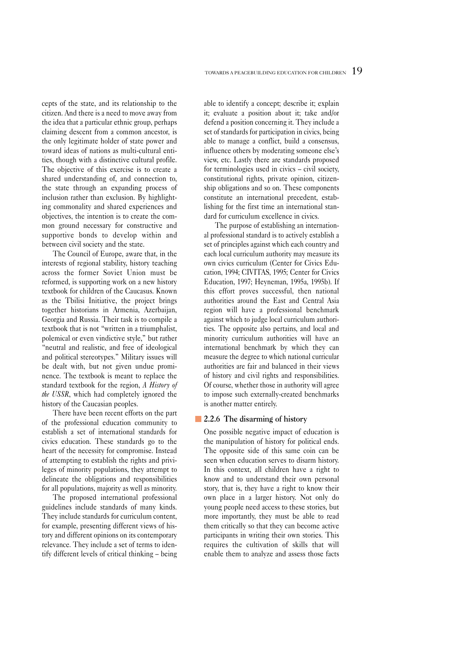cepts of the state, and its relationship to the citizen. And there is a need to move away from the idea that a particular ethnic group, perhaps claiming descent from a common ancestor, is the only legitimate holder of state power and toward ideas of nations as multi-cultural entities, though with a distinctive cultural profile. The objective of this exercise is to create a shared understanding of, and connection to, the state through an expanding process of inclusion rather than exclusion. By highlighting commonality and shared experiences and objectives, the intention is to create the common ground necessary for constructive and supportive bonds to develop within and between civil society and the state.

The Council of Europe, aware that, in the interests of regional stability, history teaching across the former Soviet Union must be reformed, is supporting work on a new history textbook for children of the Caucasus. Known as the Tbilisi Initiative, the project brings together historians in Armenia, Azerbaijan, Georgia and Russia. Their task is to compile a textbook that is not "written in a triumphalist, polemical or even vindictive style," but rather "neutral and realistic, and free of ideological and political stereotypes." Military issues will be dealt with, but not given undue prominence. The textbook is meant to replace the standard textbook for the region, *A History of the USSR*, which had completely ignored the history of the Caucasian peoples.

There have been recent efforts on the part of the professional education community to establish a set of international standards for civics education. These standards go to the heart of the necessity for compromise. Instead of attempting to establish the rights and privileges of minority populations, they attempt to delineate the obligations and responsibilities for all populations, majority as well as minority.

The proposed international professional guidelines include standards of many kinds. They include standards for curriculum content, for example, presenting different views of history and different opinions on its contemporary relevance. They include a set of terms to identify different levels of critical thinking – being able to identify a concept; describe it; explain it; evaluate a position about it; take and/or defend a position concerning it. They include a set of standards for participation in civics, being able to manage a conflict, build a consensus, influence others by moderating someone else's view, etc. Lastly there are standards proposed for terminologies used in civics – civil society, constitutional rights, private opinion, citizenship obligations and so on. These components constitute an international precedent, establishing for the first time an international standard for curriculum excellence in civics.

The purpose of establishing an international professional standard is to actively establish a set of principles against which each country and each local curriculum authority may measure its own civics curriculum (Center for Civics Education, 1994; CIVITAS, 1995; Center for Civics Education, 1997; Heyneman, 1995a, 1995b). If this effort proves successful, then national authorities around the East and Central Asia region will have a professional benchmark against which to judge local curriculum authorities. The opposite also pertains, and local and minority curriculum authorities will have an international benchmark by which they can measure the degree to which national curricular authorities are fair and balanced in their views of history and civil rights and responsibilities. Of course, whether those in authority will agree to impose such externally-created benchmarks is another matter entirely.

#### 2.2.6 The disarming of history

One possible negative impact of education is the manipulation of history for political ends. The opposite side of this same coin can be seen when education serves to disarm history. In this context, all children have a right to know and to understand their own personal story, that is, they have a right to know their own place in a larger history. Not only do young people need access to these stories, but more importantly, they must be able to read them critically so that they can become active participants in writing their own stories. This requires the cultivation of skills that will enable them to analyze and assess those facts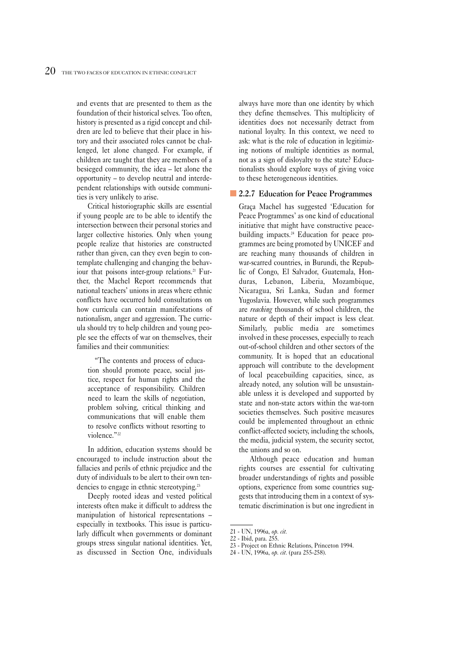and events that are presented to them as the foundation of their historical selves. Too often, history is presented as a rigid concept and children are led to believe that their place in history and their associated roles cannot be challenged, let alone changed. For example, if children are taught that they are members of a besieged community, the idea – let alone the opportunity – to develop neutral and interdependent relationships with outside communities is very unlikely to arise.

Critical historiographic skills are essential if young people are to be able to identify the intersection between their personal stories and larger collective histories. Only when young people realize that histories are constructed rather than given, can they even begin to contemplate challenging and changing the behaviour that poisons inter-group relations.<sup>21</sup> Further, the Machel Report recommends that national teachers' unions in areas where ethnic conflicts have occurred hold consultations on how curricula can contain manifestations of nationalism, anger and aggression. The curricula should try to help children and young people see the effects of war on themselves, their families and their communities:

"The contents and process of education should promote peace, social justice, respect for human rights and the acceptance of responsibility. Children need to learn the skills of negotiation, problem solving, critical thinking and communications that will enable them to resolve conflicts without resorting to violence<sup>"22</sup>

In addition, education systems should be encouraged to include instruction about the fallacies and perils of ethnic prejudice and the duty of individuals to be alert to their own tendencies to engage in ethnic stereotyping.<sup>23</sup>

Deeply rooted ideas and vested political interests often make it difficult to address the manipulation of historical representations – especially in textbooks. This issue is particularly difficult when governments or dominant groups stress singular national identities. Yet, as discussed in Section One, individuals always have more than one identity by which they define themselves. This multiplicity of identities does not necessarily detract from national loyalty. In this context, we need to ask: what is the role of education in legitimizing notions of multiple identities as normal, not as a sign of disloyalty to the state? Educationalists should explore ways of giving voice to these heterogeneous identities.

#### **2.2.7 Education for Peace Programmes**

Graça Machel has suggested 'Education for Peace Programmes' as one kind of educational initiative that might have constructive peacebuilding impacts.<sup>24</sup> Education for peace programmes are being promoted by UNICEF and are reaching many thousands of children in war-scarred countries, in Burundi, the Republic of Congo, El Salvador, Guatemala, Honduras, Lebanon, Liberia, Mozambique, Nicaragua, Sri Lanka, Sudan and former Yugoslavia. However, while such programmes are *reaching* thousands of school children, the nature or depth of their impact is less clear. Similarly, public media are sometimes involved in these processes, especially to reach out-of-school children and other sectors of the community. It is hoped that an educational approach will contribute to the development of local peacebuilding capacities, since, as already noted, any solution will be unsustainable unless it is developed and supported by state and non-state actors within the war-torn societies themselves. Such positive measures could be implemented throughout an ethnic conflict-affected society, including the schools, the media, judicial system, the security sector, the unions and so on.

Although peace education and human rights courses are essential for cultivating broader understandings of rights and possible options, experience from some countries suggests that introducing them in a context of systematic discrimination is but one ingredient in

<sup>21 -</sup> UN, 1996a, *op. cit.*

<sup>22 -</sup> Ibid, para. 255.

<sup>23 -</sup> Project on Ethnic Relations, Princeton 1994.

<sup>24 -</sup> UN, 1996a, *op. cit.* (para 255-258).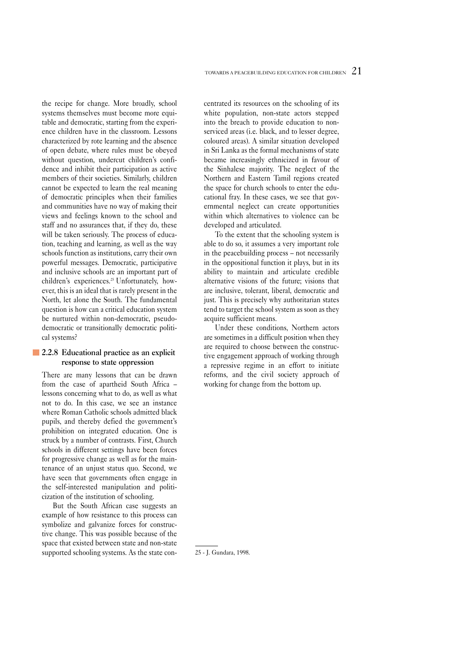the recipe for change. More broadly, school systems themselves must become more equitable and democratic, starting from the experience children have in the classroom. Lessons characterized by rote learning and the absence of open debate, where rules must be obeyed without question, undercut children's confidence and inhibit their participation as active members of their societies. Similarly, children cannot be expected to learn the real meaning of democratic principles when their families and communities have no way of making their views and feelings known to the school and staff and no assurances that, if they do, these will be taken seriously. The process of education, teaching and learning, as well as the way schools function as institutions, carry their own powerful messages. Democratic, participative and inclusive schools are an important part of children's experiences.<sup>25</sup> Unfortunately, however, this is an ideal that is rarely present in the North, let alone the South. The fundamental question is how can a critical education system be nurtured within non-democratic, pseudodemocratic or transitionally democratic political systems?

#### 2.2.8 Educational practice as an explicit response to state oppression

There are many lessons that can be drawn from the case of apartheid South Africa – lessons concerning what to do, as well as what not to do. In this case, we see an instance where Roman Catholic schools admitted black pupils, and thereby defied the government's prohibition on integrated education. One is struck by a number of contrasts. First, Church schools in different settings have been forces for progressive change as well as for the maintenance of an unjust status quo. Second, we have seen that governments often engage in the self-interested manipulation and politicization of the institution of schooling.

But the South African case suggests an example of how resistance to this process can symbolize and galvanize forces for constructive change. This was possible because of the space that existed between state and non-state supported schooling systems. As the state concentrated its resources on the schooling of its white population, non-state actors stepped into the breach to provide education to nonserviced areas (i.e. black, and to lesser degree, coloured areas). A similar situation developed in Sri Lanka as the formal mechanisms of state became increasingly ethnicized in favour of the Sinhalese majority. The neglect of the Northern and Eastern Tamil regions created the space for church schools to enter the educational fray. In these cases, we see that governmental neglect can create opportunities within which alternatives to violence can be developed and articulated.

To the extent that the schooling system is able to do so, it assumes a very important role in the peacebuilding process – not necessarily in the oppositional function it plays, but in its ability to maintain and articulate credible alternative visions of the future; visions that are inclusive, tolerant, liberal, democratic and just. This is precisely why authoritarian states tend to target the school system as soon as they acquire sufficient means.

Under these conditions, Northern actors are sometimes in a difficult position when they are required to choose between the constructive engagement approach of working through a repressive regime in an effort to initiate reforms, and the civil society approach of working for change from the bottom up.

<sup>25 -</sup> J. Gundara, 1998.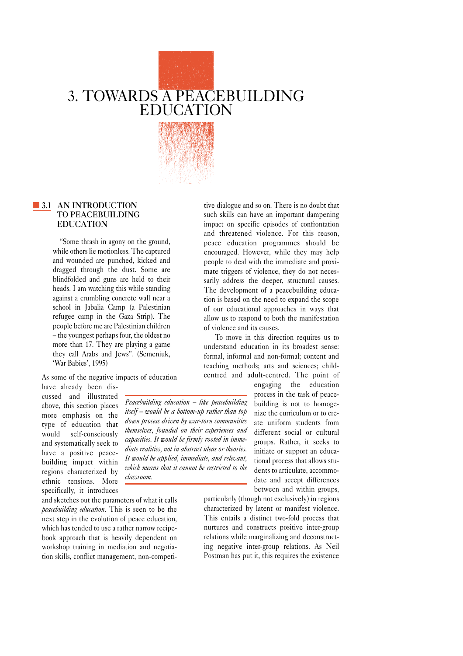

### 3. TOWARDS A PEACEBUILDING EDUCATION



#### **3.1 AN INTRODUCTION** TO PEACEBUILDING EDUCATION

"Some thrash in agony on the ground, while others lie motionless. The captured and wounded are punched, kicked and dragged through the dust. Some are blindfolded and guns are held to their heads. I am watching this while standing against a crumbling concrete wall near a school in Jabalia Camp (a Palestinian refugee camp in the Gaza Strip). The people before me are Palestinian children – the youngest perhaps four, the oldest no more than 17. They are playing a game they call Arabs and Jews". (Semeniuk, 'War Babies', 1995)

As some of the negative impacts of education

have already been discussed and illustrated above, this section places more emphasis on the type of education that would self-consciously and systematically seek to have a positive peacebuilding impact within regions characterized by ethnic tensions. More specifically, it introduces

*Peacebuilding education – like peacebuilding itself – would be a bottom-up rather than top down process driven by war-torn communities themselves, founded on their experiences and capacities. It would be firmly rooted in immediate realities, not in abstract ideas or theories. It would be applied, immediate, and relevant, which means that it cannot be restricted to the classroom.* 

and sketches out the parameters of what it calls *peacebuilding education*. This is seen to be the next step in the evolution of peace education, which has tended to use a rather narrow recipebook approach that is heavily dependent on workshop training in mediation and negotiation skills, conflict management, non-competitive dialogue and so on. There is no doubt that such skills can have an important dampening impact on specific episodes of confrontation and threatened violence. For this reason, peace education programmes should be encouraged. However, while they may help people to deal with the immediate and proximate triggers of violence, they do not necessarily address the deeper, structural causes. The development of a peacebuilding education is based on the need to expand the scope of our educational approaches in ways that allow us to respond to both the manifestation of violence and its causes.

To move in this direction requires us to understand education in its broadest sense: formal, informal and non-formal; content and teaching methods; arts and sciences; childcentred and adult-centred. The point of

engaging the education process in the task of peacebuilding is not to homogenize the curriculum or to create uniform students from different social or cultural groups. Rather, it seeks to initiate or support an educational process that allows students to articulate, accommodate and accept differences between and within groups,

particularly (though not exclusively) in regions characterized by latent or manifest violence. This entails a distinct two-fold process that nurtures and constructs positive inter-group relations while marginalizing and deconstructing negative inter-group relations. As Neil Postman has put it, this requires the existence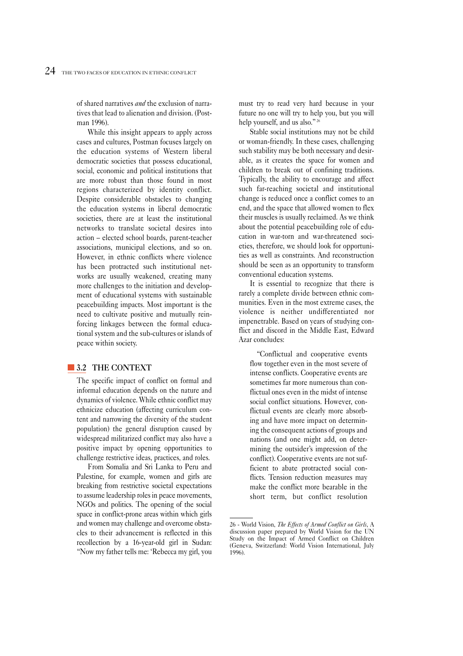of shared narratives *and* the exclusion of narratives that lead to alienation and division. (Postman 1996).

While this insight appears to apply across cases and cultures, Postman focuses largely on the education systems of Western liberal democratic societies that possess educational, social, economic and political institutions that are more robust than those found in most regions characterized by identity conflict. Despite considerable obstacles to changing the education systems in liberal democratic societies, there are at least the institutional networks to translate societal desires into action – elected school boards, parent-teacher associations, municipal elections, and so on. However, in ethnic conflicts where violence has been protracted such institutional networks are usually weakened, creating many more challenges to the initiation and development of educational systems with sustainable peacebuilding impacts. Most important is the need to cultivate positive and mutually reinforcing linkages between the formal educational system and the sub-cultures or islands of peace within society.

#### 3.2 THE CONTEXT

The specific impact of conflict on formal and informal education depends on the nature and dynamics of violence. While ethnic conflict may ethnicize education (affecting curriculum content and narrowing the diversity of the student population) the general disruption caused by widespread militarized conflict may also have a positive impact by opening opportunities to challenge restrictive ideas, practices, and roles.

From Somalia and Sri Lanka to Peru and Palestine, for example, women and girls are breaking from restrictive societal expectations to assume leadership roles in peace movements, NGOs and politics. The opening of the social space in conflict-prone areas within which girls and women may challenge and overcome obstacles to their advancement is reflected in this recollection by a 16-year-old girl in Sudan: "Now my father tells me: 'Rebecca my girl, you must try to read very hard because in your future no one will try to help you, but you will help yourself, and us also."<sup>26</sup>

Stable social institutions may not be child or woman-friendly. In these cases, challenging such stability may be both necessary and desirable, as it creates the space for women and children to break out of confining traditions. Typically, the ability to encourage and affect such far-reaching societal and institutional change is reduced once a conflict comes to an end, and the space that allowed women to flex their muscles is usually reclaimed. As we think about the potential peacebuilding role of education in war-torn and war-threatened societies, therefore, we should look for opportunities as well as constraints. And reconstruction should be seen as an opportunity to transform conventional education systems.

It is essential to recognize that there is rarely a complete divide between ethnic communities. Even in the most extreme cases, the violence is neither undifferentiated nor impenetrable. Based on years of studying conflict and discord in the Middle East, Edward Azar concludes:

"Conflictual and cooperative events flow together even in the most severe of intense conflicts. Cooperative events are sometimes far more numerous than conflictual ones even in the midst of intense social conflict situations. However, conflictual events are clearly more absorbing and have more impact on determining the consequent actions of groups and nations (and one might add, on determining the outsider's impression of the conflict). Cooperative events are not sufficient to abate protracted social conflicts. Tension reduction measures may make the conflict more bearable in the short term, but conflict resolution

<sup>26 -</sup> World Vision, *The Effects of Armed Conflict on Girls*, A discussion paper prepared by World Vision for the UN Study on the Impact of Armed Conflict on Children (Geneva, Switzerland: World Vision International, July 1996).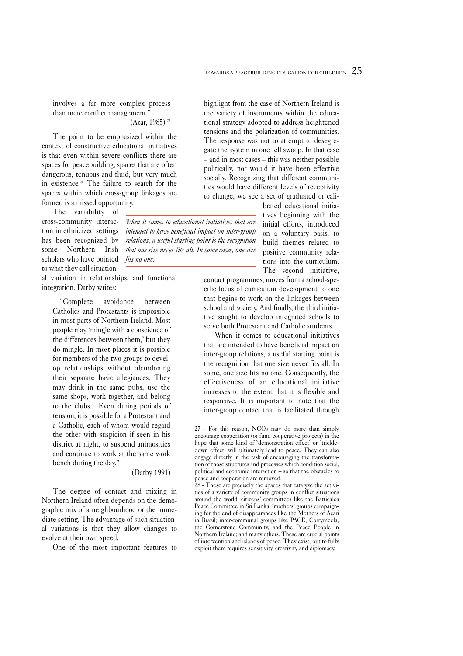involves a far more complex process than mere conflict management."

 $(Azar, 1985).$ <sup>27</sup>

The point to be emphasized within the context of constructive educational initiatives is that even within severe conflicts there are spaces for peacebuilding; spaces that are often dangerous, tenuous and fluid, but very much in existence.<sup>28</sup> The failure to search for the spaces within which cross-group linkages are formed is a missed opportunity.

The variability of scholars who have pointed *fits no one.* to what they call situation-

cross-community interac-*When it comes to educational initiatives that are* tion in ethnicized settings *intended to have beneficial impact on inter-group* has been recognized by *relations, a useful starting point is the recognition* some Northern Irish *that one size never fits all. In some cases, one size*

al variation in relationships, and functional integration. Darby writes:

"Complete avoidance between Catholics and Protestants is impossible in most parts of Northern Ireland. Most people may 'mingle with a conscience of the differences between them,' but they do mingle. In most places it is possible for members of the two groups to develop relationships without abandoning their separate basic allegiances. They may drink in the same pubs, use the same shops, work together, and belong to the clubs... Even during periods of tension, it is possible for a Protestant and a Catholic, each of whom would regard the other with suspicion if seen in his district at night, to suspend animosities and continue to work at the same work bench during the day."

(Darby 1991)

The degree of contact and mixing in Northern Ireland often depends on the demographic mix of a neighbourhood or the immediate setting. The advantage of such situational variations is that they allow changes to evolve at their own speed.

One of the most important features to

highlight from the case of Northern Ireland is the variety of instruments within the educational strategy adopted to address heightened tensions and the polarization of communities. The response was not to attempt to desegregate the system in one fell swoop. In that case – and in most cases – this was neither possible politically, nor would it have been effective socially. Recognizing that different communities would have different levels of receptivity to change, we see a set of graduated or cali-

> brated educational initiatives beginning with the initial efforts, introduced on a voluntary basis, to build themes related to positive community relations into the curriculum. The second initiative,

contact programmes, moves from a school-specific focus of curriculum development to one that begins to work on the linkages between school and society. And finally, the third initiative sought to develop integrated schools to serve both Protestant and Catholic students.

When it comes to educational initiatives that are intended to have beneficial impact on inter-group relations, a useful starting point is the recognition that one size never fits all. In some, one size fits no one. Consequently, the effectiveness of an educational initiative increases to the extent that it is flexible and responsive. It is important to note that the inter-group contact that is facilitated through

<sup>27 -</sup> For this reason, NGOs may do more than simply encourage cooperation (or fund cooperative projects) in the hope that some kind of 'demonstration effect' or 'trickledown effect' will ultimately lead to peace. They can also engage directly in the task of encouraging the transformation of those structures and processes which condition social, political and economic interaction – so that the obstacles to peace and cooperation are removed.

<sup>28 -</sup> These are precisely the spaces that catalyze the activities of a variety of community groups in conflict situations around the world: citizens' committees like the Batticaloa Peace Committee in Sri Lanka; `mothers' groups campaigning for the end of disappearances like the Mothers of Acari in Brazil; inter-communal groups like PACE, Corrymeela, the Cornerstone Community, and the Peace People in Northern Ireland; and many others. These are crucial points of intervention and islands of peace. They exist, but to fully exploit them requires sensitivity, creativity and diplomacy.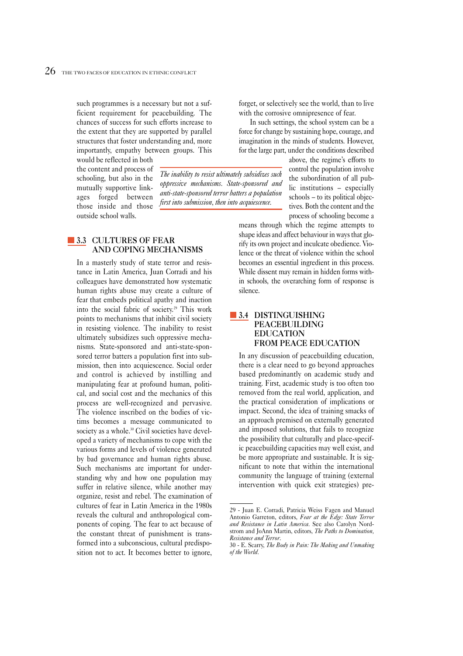such programmes is a necessary but not a sufficient requirement for peacebuilding. The chances of success for such efforts increase to the extent that they are supported by parallel structures that foster understanding and, more importantly, empathy between groups. This

would be reflected in both the content and process of schooling, but also in the mutually supportive linkages forged between those inside and those outside school walls.

*The inability to resist ultimately subsidizes such oppressive mechanisms. State-sponsored and anti-state-sponsored terror batters a population first into submission, then into acquiescence.*

#### **3.3 CULTURES OF FEAR** AND COPING MECHANISMS

In a masterly study of state terror and resistance in Latin America, Juan Corradi and his colleagues have demonstrated how systematic human rights abuse may create a culture of fear that embeds political apathy and inaction into the social fabric of society.<sup>29</sup> This work points to mechanisms that inhibit civil society in resisting violence. The inability to resist ultimately subsidizes such oppressive mechanisms. State-sponsored and anti-state-sponsored terror batters a population first into submission, then into acquiescence. Social order and control is achieved by instilling and manipulating fear at profound human, political, and social cost and the mechanics of this process are well-recognized and pervasive. The violence inscribed on the bodies of victims becomes a message communicated to society as a whole.<sup>30</sup> Civil societies have developed a variety of mechanisms to cope with the various forms and levels of violence generated by bad governance and human rights abuse. Such mechanisms are important for understanding why and how one population may suffer in relative silence, while another may organize, resist and rebel. The examination of cultures of fear in Latin America in the 1980s reveals the cultural and anthropological components of coping. The fear to act because of the constant threat of punishment is transformed into a subconscious, cultural predisposition not to act. It becomes better to ignore, forget, or selectively see the world, than to live with the corrosive omnipresence of fear.

In such settings, the school system can be a force for change by sustaining hope, courage, and imagination in the minds of students. However, for the large part, under the conditions described

> above, the regime's efforts to control the population involve the subordination of all public institutions – especially schools – to its political objectives. Both the content and the process of schooling become a

means through which the regime attempts to shape ideas and affect behaviour in ways that glorify its own project and inculcate obedience. Violence or the threat of violence within the school becomes an essential ingredient in this process. While dissent may remain in hidden forms within schools, the overarching form of response is silence.

#### 3.4 DISTINGUISHING **PEACEBUILDING** EDUCATION FROM PEACE EDUCATION

In any discussion of peacebuilding education, there is a clear need to go beyond approaches based predominantly on academic study and training. First, academic study is too often too removed from the real world, application, and the practical consideration of implications or impact. Second, the idea of training smacks of an approach premised on externally generated and imposed solutions, that fails to recognize the possibility that culturally and place-specific peacebuilding capacities may well exist, and be more appropriate and sustainable. It is significant to note that within the international community the language of training (external intervention with quick exit strategies) pre-

<sup>29 -</sup> Juan E. Corradi, Patricia Weiss Fagen and Manuel Antonio Garreton, editors, *Fear at the Edge: State Terror and Resistance in Latin America*. See also Carolyn Nordstrom and JoAnn Martin, editors, *The Paths to Domination, Resistance and Terror*.

<sup>30 -</sup> E. Scarry, *The Body in Pain: The Making and Unmaking of the World*.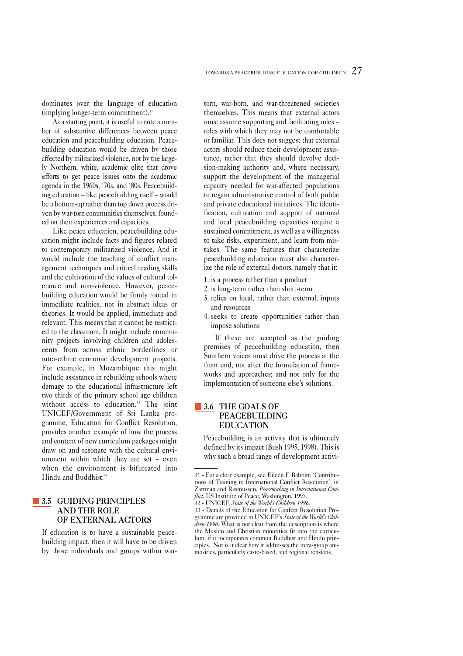dominates over the language of education (implying longer-term commitment).<sup>31</sup>

As a starting point, it is useful to note a number of substantive differences between peace education and peacebuilding education. Peacebuilding education would be driven by those affected by militarized violence, not by the largely Northern, white, academic elite that drove efforts to get peace issues onto the academic agenda in the 1960s, '70s, and '80s. Peacebuilding education – like peacebuilding itself – would be a bottom-up rather than top down process driven by war-torn communities themselves, founded on their experiences and capacities.

Like peace education, peacebuilding education might include facts and figures related to contemporary militarized violence. And it would include the teaching of conflict management techniques and critical reading skills and the cultivation of the values of cultural tolerance and non-violence. However, peacebuilding education would be firmly rooted in immediate realities, not in abstract ideas or theories. It would be applied, immediate and relevant. This means that it cannot be restricted to the classroom. It might include community projects involving children and adolescents from across ethnic borderlines or inter-ethnic economic development projects. For example, in Mozambique this might include assistance in rebuilding schools where damage to the educational infrastructure left two thirds of the primary school age children without access to education.<sup>32</sup> The joint UNICEF/Government of Sri Lanka programme, Education for Conflict Resolution, provides another example of how the process and content of new curriculum packages might draw on and resonate with the cultural environment within which they are set – even when the environment is bifurcated into Hindu and Buddhist.<sup>33</sup>

#### **3.5 GUIDING PRINCIPLES** AND THE ROLE OF EXTERNAL ACTORS

If education is to have a sustainable peacebuilding impact, then it will have to be driven by those individuals and groups within wartorn, war-born, and war-threatened societies themselves. This means that external actors must assume supporting and facilitating roles – roles with which they may not be comfortable or familiar. This does not suggest that external actors should reduce their development assistance, rather that they should devolve decision-making authority and, where necessary, support the development of the managerial capacity needed for war-affected populations to regain administrative control of both public and private educational initiatives. The identification, cultivation and support of national and local peacebuilding capacities require a sustained commitment, as well as a willingness to take risks, experiment, and learn from mistakes. The same features that characterize peacebuilding education must also characterize the role of external donors, namely that it:

- 1. is a process rather than a product
- 2. is long-term rather than short-term
- 3. relies on local, rather than external, inputs and resources
- 4. seeks to create opportunities rather than impose solutions

If these are accepted as the guiding premises of peacebuilding education, then Southern voices must drive the process at the front end, not after the formulation of frameworks and approaches; and not only for the implementation of someone else's solutions.

#### 3.6 THE GOALS OF PEACEBUILDING EDUCATION

Peacebuilding is an activity that is ultimately defined by its impact (Bush 1995, 1998). This is why such a broad range of development activi-

<sup>31 -</sup> For a clear example, see Eileen F. Babbitt, 'Contributions of Training to International Conflict Resolution', in Zartman and Rasmussen, *Peacemaking in International Conflict*, US Institute of Peace, Washington, 1997.

<sup>32 -</sup> UNICEF, *State of the World's Children 1996*.

<sup>33 -</sup> Details of the Education for Confect Resolution Programme are provided in UNICEF's *State of the World's Children 1996*. What is not clear from the description is where the Muslim and Christian minorities fit into the curriculum, if it incorporates common Buddhist and Hindu principles. Nor is it clear how it addresses the intra-group animosities, particularly caste-based, and regional tensions.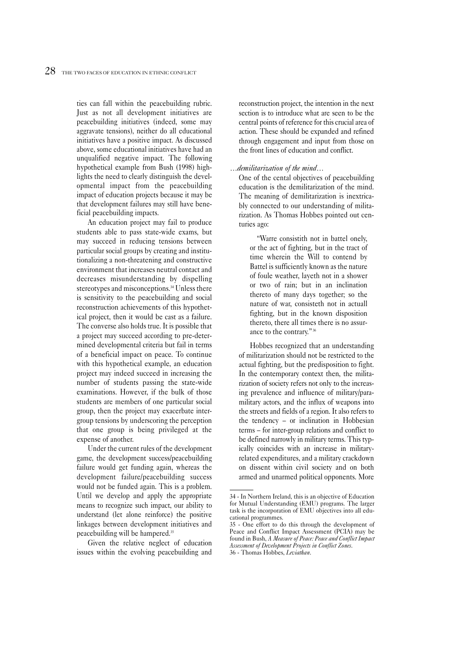ties can fall within the peacebuilding rubric. Just as not all development initiatives are peacebuilding initiatives (indeed, some may aggravate tensions), neither do all educational initiatives have a positive impact. As discussed above, some educational initiatives have had an unqualified negative impact. The following hypothetical example from Bush (1998) highlights the need to clearly distinguish the developmental impact from the peacebuilding impact of education projects because it may be that development failures may still have beneficial peacebuilding impacts.

An education project may fail to produce students able to pass state-wide exams, but may succeed in reducing tensions between particular social groups by creating and institutionalizing a non-threatening and constructive environment that increases neutral contact and decreases misunderstanding by dispelling stereotypes and misconceptions.<sup>34</sup> Unless there is sensitivity to the peacebuilding and social reconstruction achievements of this hypothetical project, then it would be cast as a failure. The converse also holds true. It is possible that a project may succeed according to pre-determined developmental criteria but fail in terms of a beneficial impact on peace. To continue with this hypothetical example, an education project may indeed succeed in increasing the number of students passing the state-wide examinations. However, if the bulk of those students are members of one particular social group, then the project may exacerbate intergroup tensions by underscoring the perception that one group is being privileged at the expense of another.

Under the current rules of the development game, the development success/peacebuilding failure would get funding again, whereas the development failure/peacebuilding success would not be funded again. This is a problem. Until we develop and apply the appropriate means to recognize such impact, our ability to understand (let alone reinforce) the positive linkages between development initiatives and peacebuilding will be hampered.35

Given the relative neglect of education issues within the evolving peacebuilding and reconstruction project, the intention in the next section is to introduce what are seen to be the central points of reference for this crucial area of action. These should be expanded and refined through engagement and input from those on the front lines of education and conflict.

#### *…demilitarization of the mind…*

One of the cental objectives of peacebuilding education is the demilitarization of the mind. The meaning of demilitarization is inextricably connected to our understanding of militarization. As Thomas Hobbes pointed out centuries ago:

"Warre consistith not in battel onely, or the act of fighting, but in the tract of time wherein the Will to contend by Battel is sufficiently known as the nature of foule weather, layeth not in a shower or two of rain; but in an inclination thereto of many days together; so the nature of war, consisteth not in actuall fighting, but in the known disposition thereto, there all times there is no assurance to the contrary."36

Hobbes recognized that an understanding of militarization should not be restricted to the actual fighting, but the predisposition to fight. In the contemporary context then, the militarization of society refers not only to the increasing prevalence and influence of military/paramilitary actors, and the influx of weapons into the streets and fields of a region. It also refers to the tendency – or inclination in Hobbesian terms – for inter-group relations and conflict to be defined narrowly in military terms. This typically coincides with an increase in militaryrelated expenditures, and a military crackdown on dissent within civil society and on both armed and unarmed political opponents. More

<sup>34 -</sup> In Northern Ireland, this is an objective of Education for Mutual Understanding (EMU) programs. The larger task is the incorporation of EMU objectives into all educational programmes.

<sup>35 -</sup> One effort to do this through the development of Peace and Conflict Impact Assessment (PCIA) may be found in Bush, *A Measure of Peace: Peace and Conflict Impact Assessment of Development Projects in Conflict Zones* . 36 - Thomas Hobbes, *Leviathan* .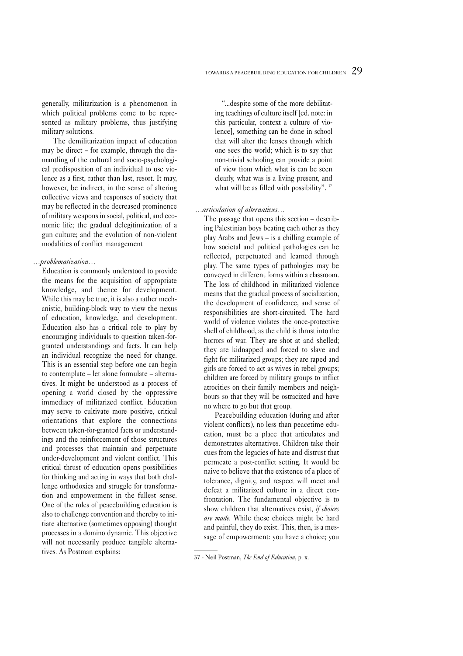generally, militarization is a phenomenon in which political problems come to be represented as military problems, thus justifying military solutions.

The demilitarization impact of education may be direct – for example, through the dismantling of the cultural and socio-psychological predisposition of an individual to use violence as a first, rather than last, resort. It may, however, be indirect, in the sense of altering collective views and responses of society that may be reflected in the decreased prominence of military weapons in social, political, and economic life; the gradual delegitimization of a gun culture; and the evolution of non-violent modalities of conflict management

#### *…problematization…*

Education is commonly understood to provide the means for the acquisition of appropriate knowledge, and thence for development. While this may be true, it is also a rather mechanistic, building-block way to view the nexus of education, knowledge, and development. Education also has a critical role to play by encouraging individuals to question taken-forgranted understandings and facts. It can help an individual recognize the need for change. This is an essential step before one can begin to contemplate – let alone formulate – alternatives. It might be understood as a process of opening a world closed by the oppressive immediacy of militarized conflict. Education may serve to cultivate more positive, critical orientations that explore the connections between taken-for-granted facts or understandings and the reinforcement of those structures and processes that maintain and perpetuate under-development and violent conflict. This critical thrust of education opens possibilities for thinking and acting in ways that both challenge orthodoxies and struggle for transformation and empowerment in the fullest sense. One of the roles of peacebuilding education is also to challenge convention and thereby to initiate alternative (sometimes opposing) thought processes in a domino dynamic. This objective will not necessarily produce tangible alternatives. As Postman explains:

"...despite some of the more debilitating teachings of culture itself [ed. note: in this particular, context a culture of violence], something can be done in school that will alter the lenses through which one sees the world; which is to say that non-trivial schooling can provide a point of view from which what is can be seen clearly, what was is a living present, and what will be as filled with possibility". 37

#### *…articulation of alternatives…*

The passage that opens this section – describing Palestinian boys beating each other as they play Arabs and Jews – is a chilling example of how societal and political pathologies can he reflected, perpetuated and learned through play. The same types of pathologies may be conveyed in different forms within a classroom. The loss of childhood in militarized violence means that the gradual process of socialization, the development of confidence, and sense of responsibilities are short-circuited. The hard world of violence violates the once-protective shell of childhood, as the child is thrust into the horrors of war. They are shot at and shelled; they are kidnapped and forced to slave and fight for militarized groups; they are raped and girls are forced to act as wives in rebel groups; children are forced by military groups to inflict atrocities on their family members and neighbours so that they will be ostracized and have no where to go but that group.

Peacebuilding education (during and after violent conflicts), no less than peacetime education, must be a place that articulates and demonstrates alternatives. Children take their cues from the legacies of hate and distrust that permeate a post-conflict setting. It would be naive to believe that the existence of a place of tolerance, dignity, and respect will meet and defeat a militarized culture in a direct confrontation. The fundamental objective is to show children that alternatives exist, *if choices are made.* While these choices might be hard and painful, they do exist. This, then, is a message of empowerment: you have a choice; you

<sup>37 -</sup> Neil Postman, *The End of Education*, p. x.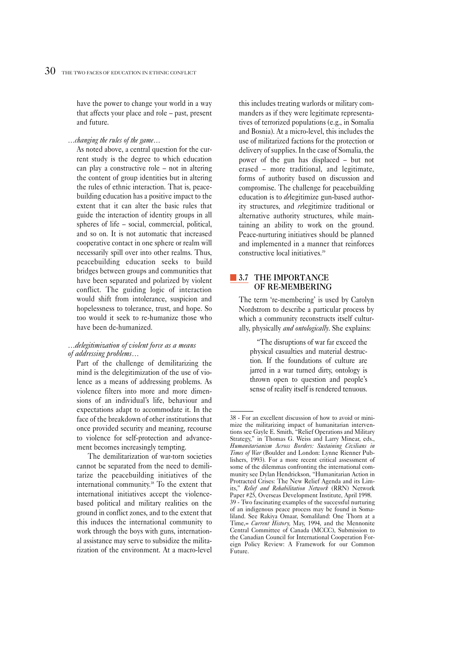have the power to change your world in a way that affects your place and role – past, present and future.

*…changing the rules of the game…*

As noted above, a central question for the current study is the degree to which education can play a constructive role – not in altering the content of group identities but in altering the rules of ethnic interaction. That is, peacebuilding education has a positive impact to the extent that it can alter the basic rules that guide the interaction of identity groups in all spheres of life – social, commercial, political, and so on. It is not automatic that increased cooperative contact in one sphere or realm will necessarily spill over into other realms. Thus, peacebuilding education seeks to build bridges between groups and communities that have been separated and polarized by violent conflict. The guiding logic of interaction would shift from intolerance, suspicion and hopelessness to tolerance, trust, and hope. So too would it seek to re-humanize those who have been de-humanized.

#### *…delegitimization of violent force as a means of addressing problems…*

Part of the challenge of demilitarizing the mind is the delegitimization of the use of violence as a means of addressing problems. As violence filters into more and more dimensions of an individual's life, behaviour and expectations adapt to accommodate it. In the face of the breakdown of other institutions that once provided security and meaning, recourse to violence for self-protection and advancement becomes increasingly tempting.

The demilitarization of war-torn societies cannot be separated from the need to demilitarize the peacebuilding initiatives of the international community.<sup>38</sup> To the extent that international initiatives accept the violencebased political and military realities on the ground in conflict zones, and to the extent that this induces the international community to work through the boys with guns, international assistance may serve to subsidize the militarization of the environment. At a macro-level this includes treating warlords or military commanders as if they were legitimate representatives of terrorized populations (e.g., in Somalia and Bosnia). At a micro-level, this includes the use of militarized factions for the protection or delivery of supplies. In the case of Somalia, the power of the gun has displaced – but not erased – more traditional, and legitimate, forms of authority based on discussion and compromise. The challenge for peacebuilding education is to *de*legitimize gun-based authority structures, and *re*legitimize traditional or alternative authority structures, while maintaining an ability to work on the ground. Peace-nurturing initiatives should be planned and implemented in a manner that reinforces constructive local initiatives.39

#### **3.7 THE IMPORTANCE** OF RE-MEMBERING

The term 're-membering' is used by Carolyn Nordstrom to describe a particular process by which a community reconstructs itself culturally, physically *and ontologically*. She explains:

"The disruptions of war far exceed the physical casualties and material destruction. If the foundations of culture are jarred in a war turned dirty, ontology is thrown open to question and people's sense of reality itself is rendered tenuous.

<sup>38 -</sup> For an excellent discussion of how to avoid or minimize the militarizing impact of humanitarian interventions see Gayle E. Smith, "Relief Operations and Military Strategy," in Thomas G. Weiss and Larry Minear, eds., *Humanitarianism Across Borders: Sustaining Civilians in Times of War* (Boulder and London: Lynne Rienner Publishers, 1993). For a more recent critical assessment of some of the dilemmas confronting the international community see Dylan Hendrickson, "Humanitarian Action in Protracted Crises: The New Relief Agenda and its Limits," *Relief and Rehabilitation Network* (RRN) Network Paper #25, Overseas Development Institute, April 1998. 39 - Two fascinating examples of the successful nurturing of an indigenous peace process may be found in Somaliland. See Rakiya Omaar, Somaliland: One Thorn at a Time,= *Current History,* May, 1994, and the Mennonite Central Committee of Canada (MCCC), Submission to the Canadian Council for International Cooperation Foreign Policy Review: A Framework for our Common Future.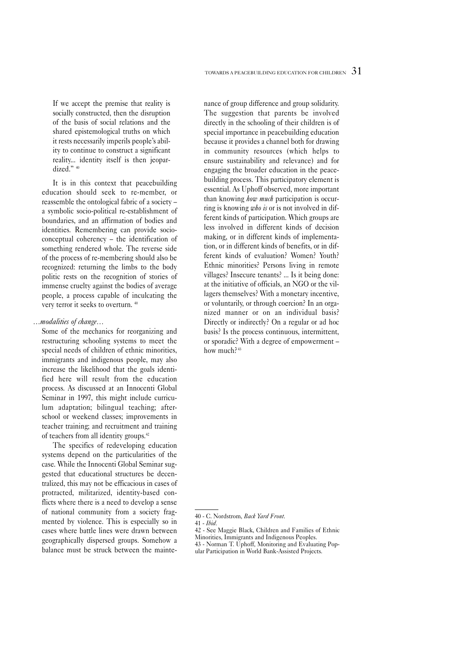If we accept the premise that reality is socially constructed, then the disruption of the basis of social relations and the shared epistemological truths on which it rests necessarily imperils people's ability to continue to construct a significant reality... identity itself is then jeopardized." 40

It is in this context that peacebuilding education should seek to re-member, or reassemble the ontological fabric of a society – a symbolic socio-political re-establishment of boundaries, and an affirmation of bodies and identities. Remembering can provide socioconceptual coherency – the identification of something rendered whole. The reverse side of the process of re-membering should also be recognized: returning the limbs to the body politic rests on the recognition of stories of immense cruelty against the bodies of average people, a process capable of inculcating the very terror it seeks to overturn. 40

#### *…modalities of change…*

Some of the mechanics for reorganizing and restructuring schooling systems to meet the special needs of children of ethnic minorities, immigrants and indigenous people, may also increase the likelihood that the goals identified here will result from the education process. As discussed at an Innocenti Global Seminar in 1997, this might include curriculum adaptation; bilingual teaching; afterschool or weekend classes; improvements in teacher training; and recruitment and training of teachers from all identity groups.42

The specifics of redeveloping education systems depend on the particularities of the case. While the Innocenti Global Seminar suggested that educational structures be decentralized, this may not be efficacious in cases of protracted, militarized, identity-based conflicts where there is a need to develop a sense of national community from a society fragmented by violence. This is especially so in cases where battle lines were drawn between geographically dispersed groups. Somehow a balance must be struck between the maintenance of group difference and group solidarity. The suggestion that parents be involved directly in the schooling of their children is of special importance in peacebuilding education because it provides a channel both for drawing in community resources (which helps to ensure sustainability and relevance) and for engaging the broader education in the peacebuilding process. This participatory element is essential. As Uphoff observed, more important than knowing *how much* participation is occurring is knowing *who is* or is not involved in different kinds of participation. Which groups are less involved in different kinds of decision making, or in different kinds of implementation, or in different kinds of benefits, or in different kinds of evaluation? Women? Youth? Ethnic minorities? Persons living in remote villages? Insecure tenants? ... Is it being done: at the initiative of officials, an NGO or the villagers themselves? With a monetary incentive, or voluntarily, or through coercion? In an organized manner or on an individual basis? Directly or indirectly? On a regular or ad hoc basis? Is the process continuous, intermittent, or sporadic? With a degree of empowerment – how much?<sup>43</sup>

<sup>40 -</sup> C. Nordstrom, *Back Yard Front*.

<sup>41 -</sup> *Ibid.*

<sup>42 -</sup> See Maggie Black, Children and Families of Ethnic Minorities, Immigrants and Indigenous Peoples.

<sup>43 -</sup> Norman T. Uphoff, Monitoring and Evaluating Popular Participation in World Bank-Assisted Projects.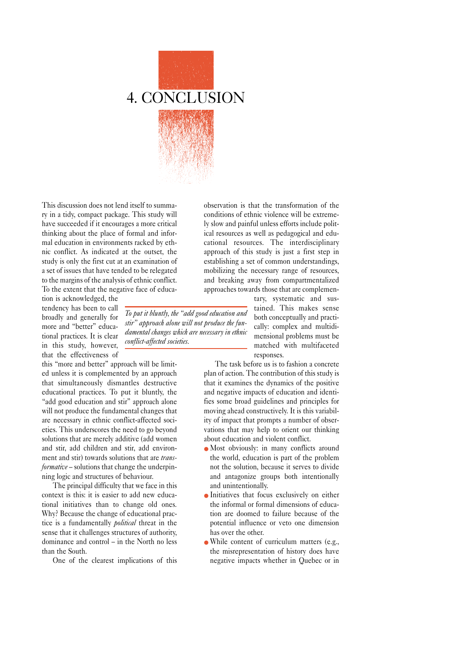

*To put it bluntly, the "add good education and stir" approach alone will not produce the fundamental changes which are necessary in ethnic*

*conflict-affected societies.* 

This discussion does not lend itself to summary in a tidy, compact package. This study will have succeeded if it encourages a more critical thinking about the place of formal and informal education in environments racked by ethnic conflict. As indicated at the outset, the study is only the first cut at an examination of a set of issues that have tended to be relegated to the margins of the analysis of ethnic conflict. To the extent that the negative face of educa-

tion is acknowledged, the tendency has been to call broadly and generally for more and "better" educational practices. It is clear in this study, however, that the effectiveness of

this "more and better" approach will be limited unless it is complemented by an approach that simultaneously dismantles destructive educational practices. To put it bluntly, the "add good education and stir" approach alone will not produce the fundamental changes that are necessary in ethnic conflict-affected societies. This underscores the need to go beyond solutions that are merely additive (add women and stir, add children and stir, add environment and stir) towards solutions that are *transformative* – solutions that change the underpinning logic and structures of behaviour.

The principal difficulty that we face in this context is this: it is easier to add new educational initiatives than to change old ones. Why? Because the change of educational practice is a fundamentally *political* threat in the sense that it challenges structures of authority, dominance and control – in the North no less than the South.

One of the clearest implications of this

observation is that the transformation of the conditions of ethnic violence will be extremely slow and painful unless efforts include political resources as well as pedagogical and educational resources. The interdisciplinary approach of this study is just a first step in establishing a set of common understandings, mobilizing the necessary range of resources, and breaking away from compartmentalized approaches towards those that are complemen-

> tary, systematic and sustained. This makes sense both conceptually and practically: complex and multidimensional problems must be matched with multifaceted responses.

The task before us is to fashion a concrete plan of action. The contribution of this study is that it examines the dynamics of the positive and negative impacts of education and identifies some broad guidelines and principles for moving ahead constructively. It is this variability of impact that prompts a number of observations that may help to orient our thinking about education and violent conflict.

- Most obviously: in many conflicts around the world, education is part of the problem not the solution, because it serves to divide and antagonize groups both intentionally and unintentionally.
- Initiatives that focus exclusively on either the informal or formal dimensions of education are doomed to failure because of the potential influence or veto one dimension has over the other.
- While content of curriculum matters (e.g., the misrepresentation of history does have negative impacts whether in Quebec or in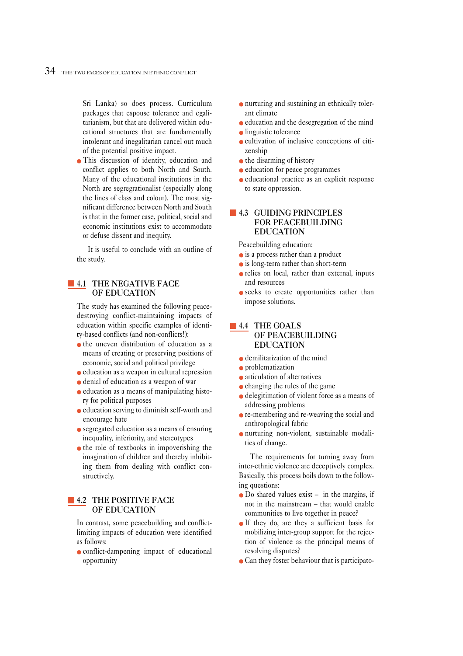Sri Lanka) so does process. Curriculum packages that espouse tolerance and egalitarianism, but that are delivered within educational structures that are fundamentally intolerant and inegalitarian cancel out much of the potential positive impact.

● This discussion of identity, education and conflict applies to both North and South. Many of the educational institutions in the North are segregrationalist (especially along the lines of class and colour). The most significant difference between North and South is that in the former case, political, social and economic institutions exist to accommodate or defuse dissent and inequity.

It is useful to conclude with an outline of the study.

#### **4.1 THE NEGATIVE FACE** OF EDUCATION

The study has examined the following peacedestroying conflict-maintaining impacts of education within specific examples of identity-based conflicts (and non-conflicts!):

- the uneven distribution of education as a means of creating or preserving positions of economic, social and political privilege
- education as a weapon in cultural repression
- denial of education as a weapon of war
- education as a means of manipulating history for political purposes
- education serving to diminish self-worth and encourage hate
- segregated education as a means of ensuring inequality, inferiority, and stereotypes
- the role of textbooks in impoverishing the imagination of children and thereby inhibiting them from dealing with conflict constructively.

#### **4.2 THE POSITIVE FACE** OF EDUCATION

In contrast, some peacebuilding and conflictlimiting impacts of education were identified as follows:

● conflict-dampening impact of educational opportunity

- nurturing and sustaining an ethnically tolerant climate
- education and the desegregation of the mind
- linguistic tolerance
- cultivation of inclusive conceptions of citizenship
- the disarming of history
- education for peace programmes
- educational practice as an explicit response to state oppression.

#### **4.3 GUIDING PRINCIPLES** FOR PEACEBUILDING EDUCATION

Peacebuilding education:

- is a process rather than a product
- is long-term rather than short-term
- relies on local, rather than external, inputs and resources
- seeks to create opportunities rather than impose solutions.

#### **4.4 THE GOALS** OF PEACEBUILDING EDUCATION

- demilitarization of the mind
- problematization
- articulation of alternatives
- changing the rules of the game
- delegitimation of violent force as a means of addressing problems
- re-membering and re-weaving the social and anthropological fabric
- nurturing non-violent, sustainable modalities of change.

The requirements for turning away from inter-ethnic violence are deceptively complex. Basically, this process boils down to the following questions:

- $\bullet$  Do shared values exist in the margins, if not in the mainstream – that would enable communities to live together in peace?
- If they do, are they a sufficient basis for mobilizing inter-group support for the rejection of violence as the principal means of resolving disputes?
- Can they foster behaviour that is participato-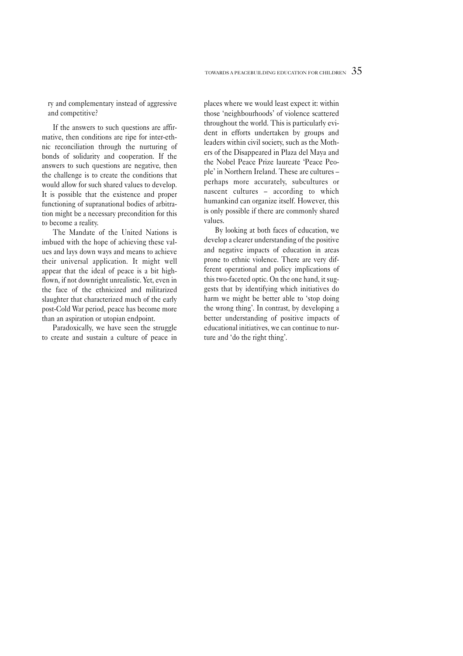ry and complementary instead of aggressive and competitive?

If the answers to such questions are affirmative, then conditions are ripe for inter-ethnic reconciliation through the nurturing of bonds of solidarity and cooperation. If the answers to such questions are negative, then the challenge is to create the conditions that would allow for such shared values to develop. It is possible that the existence and proper functioning of supranational bodies of arbitration might be a necessary precondition for this to become a reality.

The Mandate of the United Nations is imbued with the hope of achieving these values and lays down ways and means to achieve their universal application. It might well appear that the ideal of peace is a bit highflown, if not downright unrealistic. Yet, even in the face of the ethnicized and militarized slaughter that characterized much of the early post-Cold War period, peace has become more than an aspiration or utopian endpoint.

Paradoxically, we have seen the struggle to create and sustain a culture of peace in places where we would least expect it: within those 'neighbourhoods' of violence scattered throughout the world. This is particularly evident in efforts undertaken by groups and leaders within civil society, such as the Mothers of the Disappeared in Plaza del Maya and the Nobel Peace Prize laureate 'Peace People' in Northern Ireland. These are cultures – perhaps more accurately, subcultures or nascent cultures – according to which humankind can organize itself. However, this is only possible if there are commonly shared values.

By looking at both faces of education, we develop a clearer understanding of the positive and negative impacts of education in areas prone to ethnic violence. There are very different operational and policy implications of this two-faceted optic. On the one hand, it suggests that by identifying which initiatives do harm we might be better able to 'stop doing the wrong thing'. In contrast, by developing a better understanding of positive impacts of educational initiatives, we can continue to nurture and 'do the right thing'.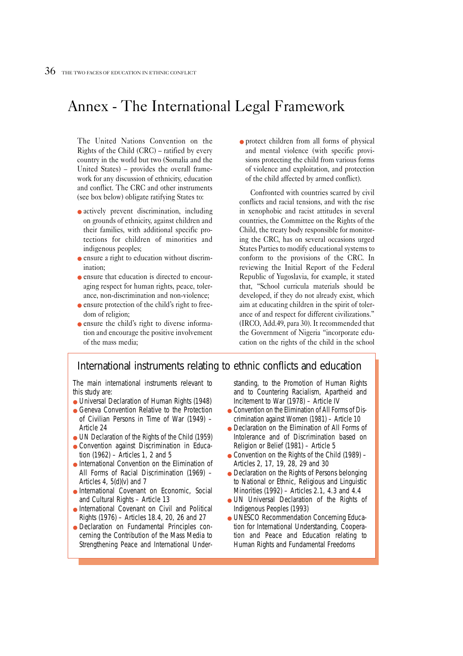# Annex - The International Legal Framework

The United Nations Convention on the Rights of the Child (CRC) – ratified by every country in the world but two (Somalia and the United States) – provides the overall framework for any discussion of ethnicity, education and conflict. The CRC and other instruments (see box below) obligate ratifying States to:

- actively prevent discrimination, including on grounds of ethnicity, against children and their families, with additional specific protections for children of minorities and indigenous peoples;
- ensure a right to education without discrimination;
- ensure that education is directed to encouraging respect for human rights, peace, tolerance, non-discrimination and non-violence;
- ensure protection of the child's right to freedom of religion;
- ensure the child's right to diverse information and encourage the positive involvement of the mass media;

• protect children from all forms of physical and mental violence (with specific provisions protecting the child from various forms of violence and exploitation, and protection of the child affected by armed conflict).

Confronted with countries scarred by civil conflicts and racial tensions, and with the rise in xenophobic and racist attitudes in several countries, the Committee on the Rights of the Child, the treaty body responsible for monitoring the CRC, has on several occasions urged States Parties to modify educational systems to conform to the provisions of the CRC. In reviewing the Initial Report of the Federal Republic of Yugoslavia, for example, it stated that, "School curricula materials should be developed, if they do not already exist, which aim at educating children in the spirit of tolerance of and respect for different civilizations." (IRCO, Add.49, para 30). It recommended that the Government of Nigeria "incorporate education on the rights of the child in the school

#### **International instruments relating to ethnic conflicts and education**

The main international instruments relevant to this study are:

- Universal Declaration of Human Rights (1948)
- Geneva Convention Relative to the Protection of Civilian Persons in Time of War (1949) – Article 24
- UN Declaration of the Rights of the Child (1959)
- Convention against Discrimination in Education (1962) – Articles 1, 2 and 5
- International Convention on the Elimination of All Forms of Racial Discrimination (1969) – Articles 4,  $5(d)(v)$  and 7
- International Covenant on Economic, Social and Cultural Rights – Article 13
- International Covenant on Civil and Political Rights (1976) – Articles 18.4, 20, 26 and 27
- Declaration on Fundamental Principles concerning the Contribution of the Mass Media to Strengthening Peace and International Under-

standing, to the Promotion of Human Rights and to Countering Racialism, Apartheid and Incitement to War (1978) – Article IV

- Convention on the Elimination of All Forms of Discrimination against Women (1981) – Article 10
- Declaration on the Elimination of All Forms of Intolerance and of Discrimination based on Religion or Belief (1981) – Article 5
- $\bullet$  Convention on the Rights of the Child (1989) Articles 2, 17, 19, 28, 29 and 30
- Declaration on the Rights of Persons belonging to National or Ethnic, Religious and Linguistic Minorities (1992) – Articles 2.1, 4.3 and 4.4
- UN Universal Declaration of the Rights of Indigenous Peoples (1993)
- UNESCO Recommendation Concerning Education for International Understanding, Cooperation and Peace and Education relating to Human Rights and Fundamental Freedoms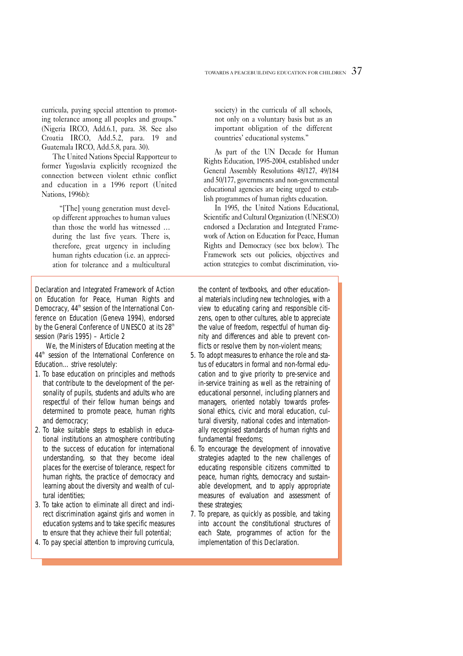curricula, paying special attention to promoting tolerance among all peoples and groups." (Nigeria IRCO, Add.6.1, para. 38. See also Croatia IRCO, Add.5.2, para. 19 and Guatemala IRCO, Add.5.8, para. 30).

The United Nations Special Rapporteur to former Yugoslavia explicitly recognized the connection between violent ethnic conflict and education in a 1996 report (United Nations, 1996b):

"[The] young generation must develop different approaches to human values than those the world has witnessed … during the last five years. There is, therefore, great urgency in including human rights education (i.e. an appreciation for tolerance and a multicultural

**Declaration and Integrated Framework of Action on Education for Peace, Human Rights and** Democracy, 44<sup>th</sup> session of the International Con**ference on Education (Geneva 1994), endorsed** by the General Conference of UNESCO at its 28<sup>th</sup> **session (Paris 1995) – Article 2**

We, the Ministers of Education meeting at the 44<sup>th</sup> session of the International Conference on Education… strive resolutely:

- 1. To base education on principles and methods that contribute to the development of the personality of pupils, students and adults who are respectful of their fellow human beings and determined to promote peace, human rights and democracy;
- 2. To take suitable steps to establish in educational institutions an atmosphere contributing to the success of education for international understanding, so that they become ideal places for the exercise of tolerance, respect for human rights, the practice of democracy and learning about the diversity and wealth of cultural identities;
- 3. To take action to eliminate all direct and indirect discrimination against girls and women in education systems and to take specific measures to ensure that they achieve their full potential;
- 4. To pay special attention to improving curricula,

society) in the curricula of all schools, not only on a voluntary basis but as an important obligation of the different countries' educational systems."

As part of the UN Decade for Human Rights Education, 1995-2004, established under General Assembly Resolutions 48/127, 49/184 and 50/177, governments and non-governmental educational agencies are being urged to establish programmes of human rights education.

In 1995, the United Nations Educational, Scientific and Cultural Organization (UNESCO) endorsed a Declaration and Integrated Framework of Action on Education for Peace, Human Rights and Democracy (see box below). The Framework sets out policies, objectives and action strategies to combat discrimination, vio-

the content of textbooks, and other educational materials including new technologies, with a view to educating caring and responsible citizens, open to other cultures, able to appreciate the value of freedom, respectful of human dignity and differences and able to prevent conflicts or resolve them by non-violent means;

- 5. To adopt measures to enhance the role and status of educators in formal and non-formal education and to give priority to pre-service and in-service training as well as the retraining of educational personnel, including planners and managers, oriented notably towards professional ethics, civic and moral education, cultural diversity, national codes and internationally recognised standards of human rights and fundamental freedoms;
- 6. To encourage the development of innovative strategies adapted to the new challenges of educating responsible citizens committed to peace, human rights, democracy and sustainable development, and to apply appropriate measures of evaluation and assessment of these strategies;
- 7. To prepare, as quickly as possible, and taking into account the constitutional structures of each State, programmes of action for the implementation of this Declaration.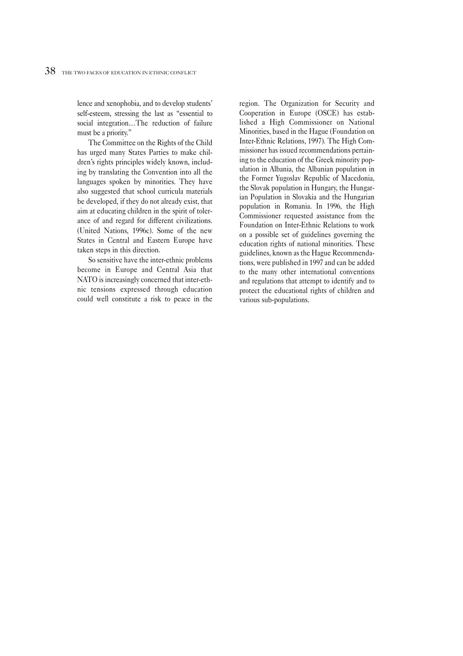lence and xenophobia, and to develop students' self-esteem, stressing the last as "essential to social integration…The reduction of failure must be a priority."

The Committee on the Rights of the Child has urged many States Parties to make children's rights principles widely known, including by translating the Convention into all the languages spoken by minorities. They have also suggested that school curricula materials be developed, if they do not already exist, that aim at educating children in the spirit of tolerance of and regard for different civilizations. (United Nations, 1996c). Some of the new States in Central and Eastern Europe have taken steps in this direction.

So sensitive have the inter-ethnic problems become in Europe and Central Asia that NATO is increasingly concerned that inter-ethnic tensions expressed through education could well constitute a risk to peace in the region. The Organization for Security and Cooperation in Europe (OSCE) has established a High Commissioner on National Minorities, based in the Hague (Foundation on Inter-Ethnic Relations, 1997). The High Commissioner has issued recommendations pertaining to the education of the Greek minority population in Albania, the Albanian population in the Former Yugoslav Republic of Macedonia, the Slovak population in Hungary, the Hungarian Population in Slovakia and the Hungarian population in Romania. In 1996, the High Commissioner requested assistance from the Foundation on Inter-Ethnic Relations to work on a possible set of guidelines governing the education rights of national minorities. These guidelines, known as the Hague Recommendations, were published in 1997 and can be added to the many other international conventions and regulations that attempt to identify and to protect the educational rights of children and various sub-populations.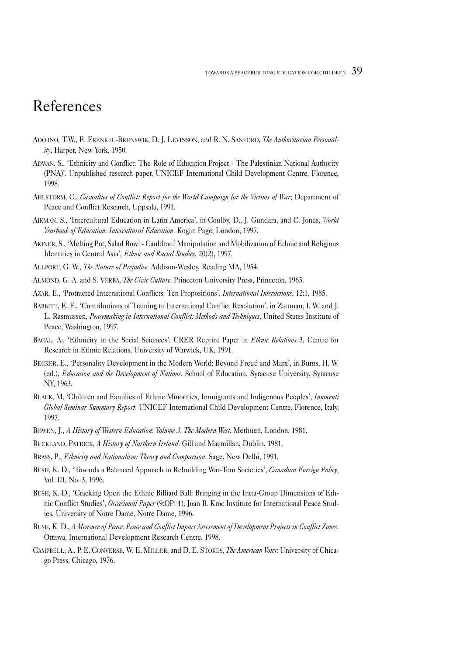# References

- ADORNO, T.W., E. FRENKEL-BRUNSWIK, D. J. LEVINSON, and R. N. SANFORD, *The Authoritarian Personality*, Harper, New York, 1950.
- ADWAN, S., 'Ethnicity and Conflict: The Role of Education Project The Palestinian National Authority (PNA)'. Unpublished research paper, UNICEF International Child Development Centre, Florence, 1998.
- AHLSTORM, C., *Casualties of Conflict: Report for the World Campaign for the Victims of War*; Department of Peace and Conflict Research, Uppsala, 1991.
- AIKMAN, S., 'Intercultural Education in Latin America', in Coulby, D., J. Gundara, and C. Jones, *World Yearbook of Education: Intercultural Education.* Kogan Page, London, 1997.
- AKINER, S., 'Melting Pot, Salad Bowl Cauldron? Manipulation and Mobilization of Ethnic and Religious Identities in Central Asia', *Ethnic and Racial Studies*, 20(2), 1997.
- ALLPORT, G. W., *The Nature of Prejudice.* Addison-Wesley, Reading MA, 1954.
- ALMOND, G. A. and S. VERBA, *The Civic Culture*. Princeton University Press, Princeton, 1963.

AZAR, E., 'Protracted International Conflicts: Ten Propositions', *International Interactions*, 12:1, 1985.

- BABBITT, E. F., 'Contributions of Training to International Conflict Resolution', in Zartman, I. W. and J. L. Rasmussen, *Peacemaking in International Conflict: Methods and Techniques,* United States Institute of Peace, Washington, 1997.
- BACAL, A., 'Ethnicity in the Social Sciences'. CRER Reprint Paper in *Ethnic Relations* 3, Centre for Research in Ethnic Relations, University of Warwick, UK, 1991.
- BECKER, E., 'Personality Development in the Modern World: Beyond Freud and Marx', in Burns, H. W. (ed.), *Education and the Development of Nations*. School of Education, Syracuse University, Syracuse NY, 1963.
- BLACK, M. 'Children and Families of Ethnic Minorities, Immigrants and Indigenous Peoples', *Innocenti Global Seminar Summary Report*. UNICEF International Child Development Centre, Florence, Italy, 1997.
- BOWEN, J., *A History of Western Education*: *Volume 3*, *The Modern West*. Methuen, London, 1981.
- BUCKLAND, PATRICK, *A History of Northern Ireland*. Gill and Macmillan, Dublin, 1981.
- BRASS, P., *Ethnicity and Nationalism: Theory and Comparison*. Sage, New Delhi, 1991.
- BUSH, K. D., 'Towards a Balanced Approach to Rebuilding War-Tom Societies', *Canadian Foreign Policy*, Vol. III, No. 3, 1996.
- BUSH, K. D., 'Cracking Open the Ethnic Billiard Ball: Bringing in the Intra-Group Dimensions of Ethnic Conflict Studies', *Occasional Paper* (9:OP: 1), Joan B. Kroc Institute for International Peace Studies, University of Notre Dame, Notre Dame, 1996.
- BUSH, K. D., *A Measure of Peace: Peace and Conflict Impact Assessment of Development Projects in Conflict Zones*. Ottawa, International Development Research Centre, 1998.
- CAMPBELL, A., P. E. CONVERSE, W. E. MILLER, and D. E. STOKES, *The American Voter.* University of Chicago Press, Chicago, 1976.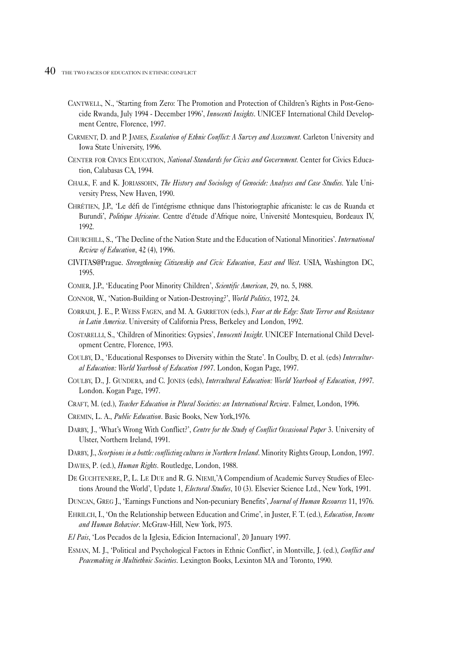- CANTWELL, N., 'Starting from Zero: The Promotion and Protection of Children's Rights in Post-Genocide Rwanda, July 1994 - December 1996', *Innocenti Insights*. UNICEF International Child Development Centre, Florence, 1997.
- CARMENT, D. and P. JAMES, *Escalation of Ethnic Conflict: A Survey and Assessment.* Carleton University and Iowa State University, 1996.
- CENTER FOR CIVICS EDUCATION, *National Standards for Civics and Government.* Center for Civics Education, Calabasas CA, 1994.
- CHALK, F. and K. JORIASSOHN, *The History and Sociology of Genocide: Analyses and Case Studies.* Yale University Press, New Haven, 1990.
- CHRÉTIEN, J.P., 'Le défi de l'intégrisme ethnique dans l'historiographie africaniste: le cas de Ruanda et Burundi', *Politique Africaine.* Centre d'étude d'Afrique noire, Université Montesquieu, Bordeaux IV, 1992.
- CHURCHILL, S., 'The Decline of the Nation State and the Education of National Minorities'. *International Review of Education*, 42 (4), 1996.
- CIVITAS@Prague. *Strengthening Citizenship and Civic Education, East and West*. USIA, Washington DC, 1995.
- COMER, J.P., 'Educating Poor Minority Children', *Scientific American*, 29, no. 5, l988.
- CONNOR, W., 'Nation-Building or Nation-Destroying?', *World Politics*, 1972, 24.
- CORRADI, J. E., P. WEISS FAGEN, and M. A. GARRETON (eds.), *Fear at the Edge: State Terror and Resistance in Latin America*. University of California Press, Berkeley and London, 1992.
- COSTARELLI, S., 'Children of Minorities: Gypsies', *Innocenti Insight*. UNICEF International Child Development Centre, Florence, 1993.
- COULBY, D., 'Educational Responses to Diversity within the State'. In Coulby, D. et al. (eds) *Intercultural Education: World Yearbook of Education 1997*. London, Kogan Page, 1997.
- COULBY, D., J. GUNDERA, and C. JONES (eds), *Intercultural Education: World Yearbook of Education, 1997*. London. Kogan Page, 1997.
- CRAFT, M. (ed.), *Teacher Education in Plural Societies: an International Review*. Falmer, London, 1996.
- CREMIN, L. A., *Public Education*. Basic Books, New York,1976.
- DARBY, J., 'What's Wrong With Conflict?', *Centre for the Study of Conflict Occasional Paper* 3. University of Ulster, Northern Ireland, 1991.
- DARBY, J., *Scorpions in a bottle: conflicting cultures in Northern Ireland*. Minority Rights Group, London, 1997.
- DAVIES, P. (ed.), *Human Rights.* Routledge, London, 1988.
- DE GUCHTENERE, P., L. LE DUE and R. G. NIEMI*,*'A Compendium of Academic Survey Studies of Elections Around the World', Update 1, *Electoral Studies*, 10 (3). Elsevier Science Ltd., New York, 1991.
- DUNCAN, GREG J., 'Earnings Functions and Non-pecuniary Benefits', *Journal of Human Resources* 11, 1976.
- EHRILCH, I., 'On the Relationship between Education and Crime', in Juster, F. T. (ed.), *Education, Income and Human Behavior*. McGraw-Hill, New York, l975.
- *El Pais*, 'Los Pecados de la Iglesia, Edicion Internacional', 20 January 1997.
- ESMAN, M. J., 'Political and Psychological Factors in Ethnic Conflict', in Montville, J. (ed.), *Conflict and Peacemaking in Multiethnic Societies*. Lexington Books, Lexinton MA and Toronto, 1990.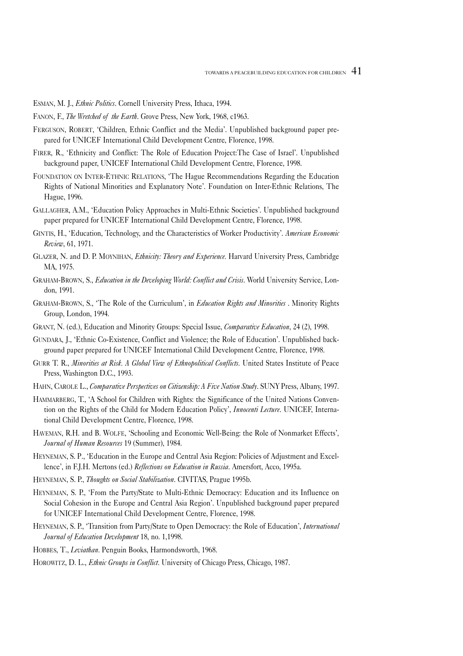ESMAN, M. J., *Ethnic Politics*. Cornell University Press, Ithaca, 1994.

FANON, F., *The Wretched of the Earth*. Grove Press, New York, 1968, c1963.

- FERGUSON, ROBERT, 'Children, Ethnic Conflict and the Media'. Unpublished background paper prepared for UNICEF International Child Development Centre, Florence, 1998.
- FIRER, R., 'Ethnicity and Conflict: The Role of Education Project:The Case of Israel'. Unpublished background paper, UNICEF International Child Development Centre, Florence, 1998.
- FOUNDATION ON INTER-ETHNIC RELATIONS, 'The Hague Recommendations Regarding the Education Rights of National Minorities and Explanatory Note'. Foundation on Inter-Ethnic Relations, The Hague, 1996.
- GALLAGHER, A.M., 'Education Policy Approaches in Multi-Ethnic Societies'. Unpublished background paper prepared for UNICEF International Child Development Centre, Florence, 1998.
- GINTIS, H., 'Education, Technology, and the Characteristics of Worker Productivity'. *American Economic Review*, 61, 1971.
- GLAZER, N. and D. P. MOYNIHAN, *Ethnicity: Theory and Experience.* Harvard University Press, Cambridge MA, 1975.
- GRAHAM-BROWN, S., *Education in the Developing World: Conflict and Crisis*. World University Service, London, 1991.
- GRAHAM-BROWN, S., 'The Role of the Curriculum', in *Education Rights and Minorities* . Minority Rights Group, London, 1994.
- GRANT, N. (ed.), Education and Minority Groups: Special Issue, *Comparative Education*, 24 (2), 1998.
- GUNDARA, J., 'Ethnic Co-Existence, Conflict and Violence; the Role of Education'. Unpublished background paper prepared for UNICEF International Child Development Centre, Florence, 1998.
- GURR T. R., *Minorities at Risk. A Global View of Ethnopolitical Conflicts.* United States Institute of Peace Press, Washington D.C., 1993.
- HAHN, CAROLE L., *Comparative Perspectives on Citizenship: A Five Nation Study*. SUNY Press, Albany, 1997.
- HAMMARBERG, T., 'A School for Children with Rights: the Significance of the United Nations Convention on the Rights of the Child for Modern Education Policy', *Innocenti Lecture*. UNICEF, International Child Development Centre, Florence, 1998.
- HAVEMAN, R.H. and B. WOLFE, 'Schooling and Economic Well-Being: the Role of Nonmarket Effects'*, Journal of Human Resources* 19 (Summer), 1984.
- HEYNEMAN, S. P., 'Education in the Europe and Central Asia Region: Policies of Adjustment and Excellence', in F.J.H. Mertons (ed.) *Reflections on Education in Russia*. Amersfort, Acco, 1995a.
- HEYNEMAN, S. P., *Thoughts on Social Stabilization*. CIVITAS, Prague 1995b.
- HEYNEMAN, S. P., 'From the Party/State to Multi-Ethnic Democracy: Education and its Influence on Social Cohesion in the Europe and Central Asia Region'. Unpublished background paper prepared for UNICEF International Child Development Centre, Florence, 1998.
- HEYNEMAN, S. P., 'Transition from Party/State to Open Democracy: the Role of Education', *International Journal of Education Development* 18, no. 1,1998.
- HOBBES, T., *Leviathan*. Penguin Books, Harmondsworth, 1968.
- HOROWITZ, D. L., *Ethnic Groups in Conflict*. University of Chicago Press, Chicago, 1987.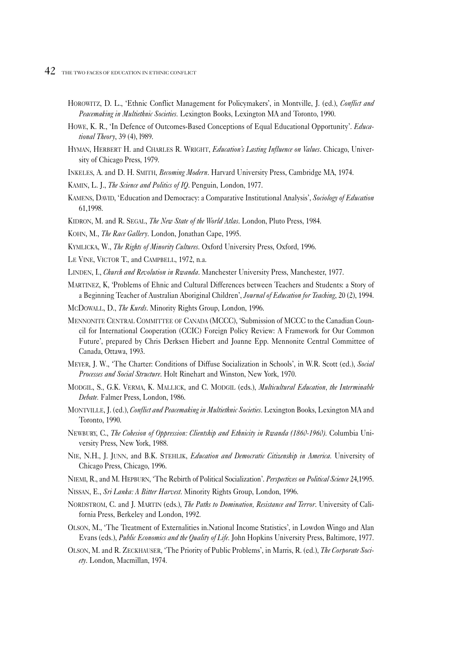- HOROWITZ, D. L., 'Ethnic Conflict Management for Policymakers', in Montville, J. (ed.), *Conflict and Peacemaking in Multiethnic Societies.* Lexington Books, Lexington MA and Toronto, 1990.
- HOWE, K. R., 'In Defence of Outcomes-Based Conceptions of Equal Educational Opportunity'. *Educational Theory*, 39 (4), l989.
- HYMAN, HERBERT H. and CHARLES R. WRIGHT, *Education's Lasting Influence on Values*. Chicago, University of Chicago Press, 1979.
- INKELES, A. and D. H. SMITH, *Becoming Modern*. Harvard University Press, Cambridge MA, 1974.
- KAMIN, L. J., *The Science and Politics of IQ*. Penguin, London, 1977.
- KAMENS, DAVID, 'Education and Democracy: a Comparative Institutional Analysis', *Sociology of Education* 61,1998.
- KIDRON, M. and R. SEGAL, *The New State of the World Atlas*. London, Pluto Press, 1984.
- KOHN, M., *The Race Gallery*. London, Jonathan Cape, 1995.
- KYMLICKA, W., *The Rights of Minority Cultures*. Oxford University Press, Oxford, 1996.
- LE VINE, VICTOR T., and CAMPBELL, 1972, n.a.
- LINDEN, I., *Church and Revolution in Rwanda*. Manchester University Press, Manchester, 1977.
- MARTINEZ, K, 'Problems of Ehnic and Cultural Differences between Teachers and Students: a Story of a Beginning Teacher of Australian Aboriginal Children', *Journal of Education for Teaching*, 20 (2), 1994.
- MCDOWALL, D., *The Kurds*. Minority Rights Group, London, 1996.
- MENNONITE CENTRAL COMMITTEE OF CANADA (MCCC), 'Submission of MCCC to the Canadian Council for International Cooperation (CCIC) Foreign Policy Review: A Framework for Our Common Future', prepared by Chris Derksen Hiebert and Joanne Epp. Mennonite Central Committee of Canada, Ottawa, 1993.
- MEYER, J. W., 'The Charter: Conditions of Diffuse Socialization in Schools', in W.R. Scott (ed.), *Social Processes and Social Structure*. Holt Rinehart and Winston, New York, 1970.
- MODGIL, S., G.K. VERMA, K. MALLICK, and C. MODGIL (eds.), *Multicultural Education, the Interminable Debate.* Falmer Press, London, 1986.
- MONTVILLE, J. (ed.), *Conflict and Peacemaking in Multiethnic Societies.* Lexington Books, Lexington MA and Toronto, 1990.
- NEWBURY, C., *The Cohesion of Oppression: Clientship and Ethnicity in Rwanda (1860-1960).* Columbia University Press, New York, 1988.
- NIE, N.H., J. JUNN, and B.K. STEHLIK, *Education and Democratic Citizenship in America.* University of Chicago Press, Chicago, 1996.
- NIEMI, R., and M. HEPBURN, 'The Rebirth of Political Socialization'. *Perspectives on Political Science* 24,1995.
- NISSAN, E., *Sri Lanka: A Bitter Harvest.* Minority Rights Group, London, 1996.
- NORDSTROM, C. and J. MARTIN (eds.), *The Paths to Domination, Resistance and Terror*. University of California Press, Berkeley and London, 1992.
- OLSON, M., 'The Treatment of Externalities in.National Income Statistics', in Lowdon Wingo and Alan Evans (eds.), *Public Economics and the Quality of Life.* John Hopkins University Press, Baltimore, 1977.
- OLSON, M. and R. ZECKHAUSER, 'The Priority of Public Problems', in Marris, R. (ed.), *The Corporate Society*. London, Macmillan, 1974.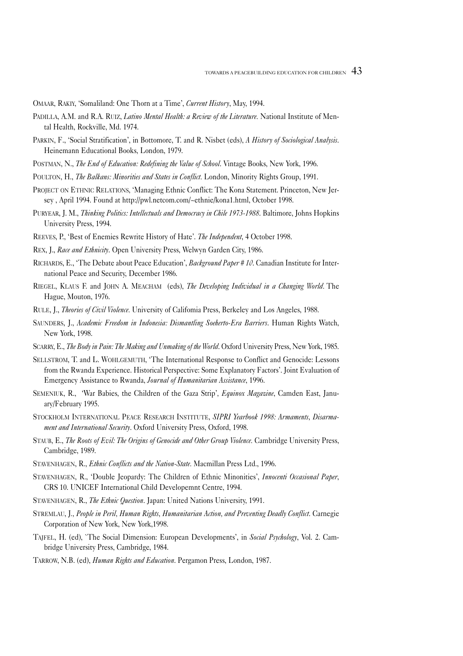OMAAR, RAKIY, 'Somaliland: One Thorn at a Time', *Current History*, May, 1994.

- PADILLA, A.M. and R.A. RUIZ, *Latino Mental Health: a Review of the Literature.* National Institute of Mental Health, Rockville, Md. 1974.
- PARKIN, F., 'Social Stratification', in Bottomore, T. and R. Nisbet (eds), *A History of Sociological Analysis*. Heinemann Educational Books, London, 1979.
- POSTMAN, N., *The End of Education: Redefining the Value of School*. Vintage Books, New York, 1996.
- POULTON, H., *The Balkans: Minorities and States in Conflict.* London, Minority Rights Group, 1991.
- PROJECT ON ETHNIC RELATIONS, 'Managing Ethnic Conflict: The Kona Statement. Princeton, New Jersey , April 1994. Found at http://pwl.netcom.com/~ethnie/kona1.html, October 1998.
- PURYEAR, J. M., *Thinking Politics: Intellectuals and Democracy in Chile 1973-1988*. Baltimore, Johns Hopkins University Press, 1994.
- REEVES, P., 'Best of Enemies Rewrite History of Hate'. *The Independent*, 4 October 1998.
- REX, J., *Race and Ethnicity*. Open University Press, Welwyn Garden City, 1986.
- RICHARDS, E., 'The Debate about Peace Education', *Background Paper # 10*. Canadian Institute for International Peace and Security, December 1986.
- RIEGEL, KLAUS F. and JOHN A. MEACHAM (eds), *The Developing Individual in a Changing World.* The Hague, Mouton, 1976.
- RULE, J., *Theories of Civil Violence.* University of Califomia Press, Berkeley and Los Angeles, 1988.
- SAUNDERS, J., *Academic Freedom in Indonesia: Dismantling Soeherto-Era Barriers*. Human Rights Watch, New York, 1998.
- SCARRY, E., *The Body in Pain: The Making and Unmaking of the World*. Oxford University Press, New York, 1985.
- SELLSTROM, T. and L. WOHLGEMUTH, 'The International Response to Conflict and Genocide: Lessons from the Rwanda Experience. Historical Perspective: Some Explanatory Factors'. Joint Evaluation of Emergency Assistance to Rwanda, *Journal of Humanitarian Assistance*, 1996.
- SEMENIUK, R., 'War Babies, the Children of the Gaza Strip'*, Equinox Magazine*, Camden East, January/February 1995.
- STOCKHOLM INTERNATIONAL PEACE RESEARCH INSTITUTE, *SIPRI Yearbook 1998: Armaments, Disarmament and International Security*. Oxford University Press, Oxford, 1998.
- STAUB, E., *The Roots of Evil: The Origins of Genocide and Other Group Violence.* Cambridge University Press, Cambridge, 1989.
- STAVENHAGEN, R., *Ethnic Conflicts and the Nation-State.* Macmillan Press Ltd., 1996.
- STAVENHAGEN, R., 'Double Jeopardy: The Children of Ethnic Minonities', *Innocenti Occasional Paper*, CRS 10. UNICEF International Child Developemnt Centre, 1994.
- STAVENHAGEN, R., *The Ethnic Question*. Japan: United Nations University, 1991.
- STREMLAU, J*., People in Peril, Human Rights, Humanitarian Action, and Preventing Deadly Conflict*. Carnegie Corporation of New York, New York,1998.
- TAJFEL, H. (ed), `The Social Dimension: European Developments', in *Social Psychology*, Vol. 2. Cambridge University Press, Cambridge, 1984.
- TARROW, N.B. (ed), *Human Rights and Education*. Pergamon Press, London, 1987.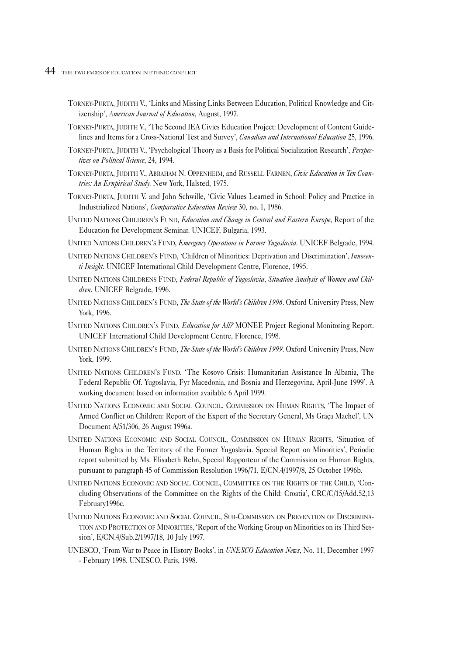- TORNEY-PURTA, JUDITH V., 'Links and Missing Links Between Education, Political Knowledge and Citizenship'*, American Journal of Education,* August, 1997.
- TORNEY-PURTA, JUDITH V., 'The Second IEA Civics Education Project: Development of Content Guidelines and Items for a Cross-National Test and Survey', *Canadian and International Education* 25, 1996.
- TORNEY-PURTA, JUDITH V., 'Psychological Theory as a Basis for Political Socialization Research', *Perspectives on Political Science*, 24, 1994.
- TORNEY-PURTA, JUDITH V., ABRAHAM N. OPPENHEIM, and RUSSELL FARNEN, *Civic Education in Ten Countries: An Ernpirical Study.* New York, Halsted, 1975.
- TORNEY-PURTA, JUDITH V. and John Schwille, 'Civic Values Learned in School: Policy and Practice in Industrialized Nations', *Comparative Education Review* 30, no. 1, 1986.
- UNITED NATIONS CHILDREN'S FUND, *Education and Change in Central and Eastern Europe*, Report of the Education for Development Seminar. UNICEF, Bulgaria, 1993.
- UNITED NATIONS CHILDREN'S FUND, *Emergency Operations in Former Yugoslavia.* UNICEF Belgrade, 1994.
- UNITED NATIONS CHILDREN'S FUND, 'Children of Minorities: Deprivation and Discrimination', *Innocenti Insight*. UNICEF International Child Development Centre, Florence, 1995.
- UNITED NATIONS CHILDRENS FUND, *Federal Republic of Yugoslavia, Situation Analysis of Women and Children*. UNICEF Belgrade, 1996.
- UNITED NATIONS CHILDREN'S FUND, *The State of the World's Children 1996*. Oxford University Press, New York, 1996.
- UNITED NATIONS CHILDREN'S FUND, *Education for All?* MONEE Project Regional Monitoring Report. UNICEF International Child Development Centre, Florence, 1998.
- UNITED NATIONS CHILDREN'S FUND, *The State of the World's Children 1999*. Oxford University Press, New York, 1999.
- UNITED NATIONS CHILDREN'S FUND, 'The Kosovo Crisis: Humanitarian Assistance In Albania, The Federal Republic Of. Yugoslavia, Fyr Macedonia, and Bosnia and Herzegovina, April-June 1999'. A working document based on information available 6 April 1999.
- UNITED NATIONS ECONOMIC AND SOCIAL COUNCIL, COMMISSION ON HUMAN RIGHTS, 'The Impact of Armed Conflict on Children: Report of the Expert of the Secretary General, Ms Graça Machel', UN Document A/51/306, 26 August 1996a.
- UNITED NATIONS ECONOMIC AND SOCIAL COUNCIL, COMMISSION ON HUMAN RIGHTS, 'Situation of Human Rights in the Territory of the Former Yugoslavia. Special Report on Minorities', Periodic report submitted by Ms. Elisabeth Rehn, Special Rapporteur of the Commission on Human Rights, pursuant to paragraph 45 of Commission Resolution 1996/71, E/CN.4/1997/8, 25 October 1996b.
- UNITED NATIONS ECONOMIC AND SOCIAL COUNCIL, COMMITTEE ON THE RIGHTS OF THE CHILD, 'Concluding Observations of the Committee on the Rights of the Child: Croatia', CRC/C/15/Add.52,13 February1996c.
- UNITED NATIONS ECONOMIC AND SOCIAL COUNCIL, SUB-COMMISSION ON PREVENTION OF DISCRIMINA-TION AND PROTECTION OF MINORITIES, 'Report of the Working Group on Minorities on its Third Session', E/CN.4/Sub.2/1997/18, 10 July 1997.
- UNESCO, 'From War to Peace in History Books', in *UNESCO Education News*, No. 11, December 1997 - February 1998. UNESCO, Paris, 1998.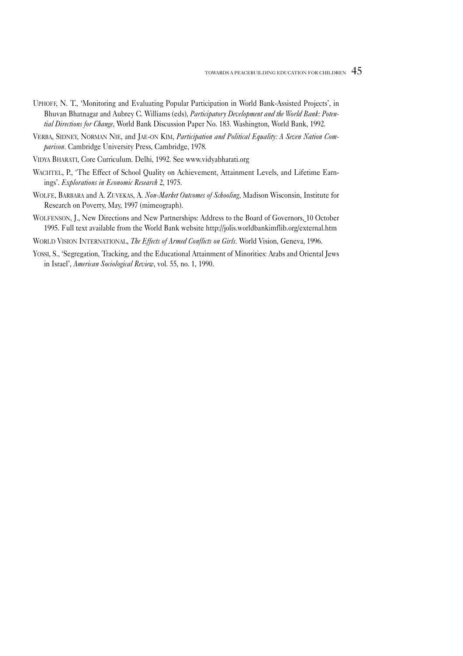- UPHOFF, N. T., 'Monitoring and Evaluating Popular Participation in World Bank-Assisted Projects', in Bhuvan Bhatnagar and Aubrey C. Williams (eds), *Participatory Development and the World Bank: Potential Directions for Change*, World Bank Discussion Paper No. 183. Washington, World Bank, 1992.
- VERBA, SIDNEY, NORMAN NIE, and JAE-ON KIM, *Participation and Political Equality: A Seven Nation Comparison.* Cambridge University Press, Cambridge, 1978.
- VIDYA BHARATI, Core Curriculum. Delhi, 1992. See www.vidyabharati.org
- WACHTEL, P., 'The Effect of School Quality on Achievement, Attainment Levels, and Lifetime Earnings'. *Explorations in Economic Research* 2, 1975.
- WOLFE, BARBARA and A. ZUVEKAS, A. *Non-Market Outcomes of Schooling*, Madison Wisconsin, Institute for Research on Poverty, May, 1997 (mimeograph).
- WOLFENSON, J., New Directions and New Partnerships: Address to the Board of Governors, 10 October 1995. Full text available from the World Bank website http://jolis.worldbankimflib.org/external.htm
- WORLD VISION INTERNATIONAL, *The Effects of Armed Conflicts on Girls.* World Vision, Geneva, 1996.
- YOSSI, S., 'Segregation, Tracking, and the Educational Attainment of Minorities: Arabs and Oriental Jews in Israel', *American Sociological Review*, vol. 55, no. 1, 1990.